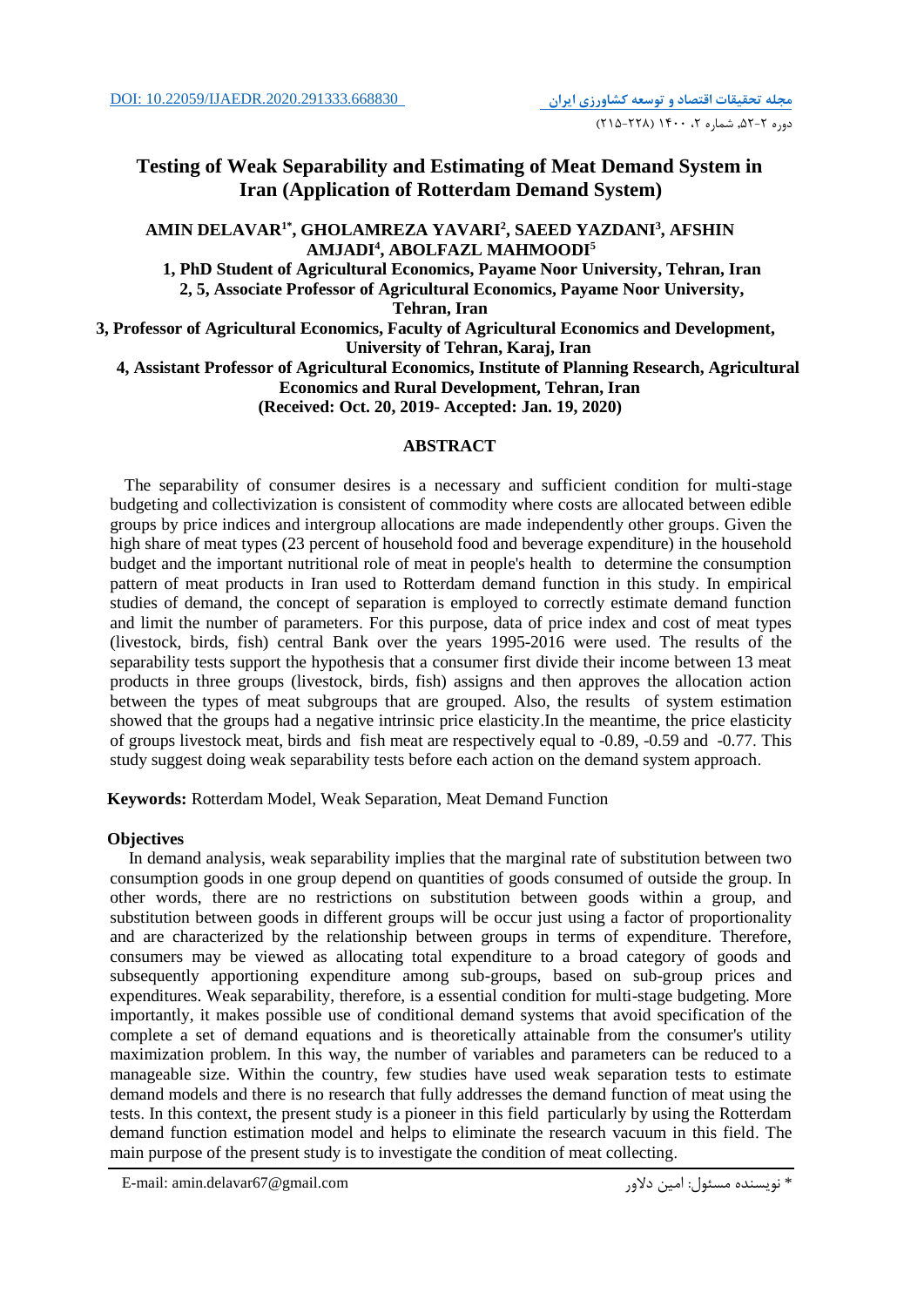## **Testing of Weak Separability and Estimating of Meat Demand System in Iran (Application of Rotterdam Demand System)**

 $\bold{AMIN}\ \bold{DELAVAR}^{1*}, \bold{GHOLAMREZA}\ \bold{YAVARI}^{2}, \bold{SAEED}\ \bold{YAZDANI}^{3}, \bold{AFSHIN}$ **5 , ABOLFAZL MAHMOODI AMJADI<sup>4</sup> 1, PhD Student of Agricultural Economics, Payame Noor University, Tehran, Iran 2, 5, Associate Professor of Agricultural Economics, Payame Noor University, Tehran, Iran 3, Professor of Agricultural Economics, Faculty of Agricultural Economics and Development, University of Tehran, Karaj, Iran 4, Assistant Professor of Agricultural Economics, Institute of Planning Research, Agricultural Economics and Rural Development, Tehran, Iran (Received: Oct. 20, 2019- Accepted: Jan. 19, 2020)**

### **ABSTRACT**

 The separability of consumer desires is a necessary and sufficient condition for multi-stage budgeting and collectivization is consistent of commodity where costs are allocated between edible groups by price indices and intergroup allocations are made independently other groups. Given the high share of meat types (23 percent of household food and beverage expenditure) in the household budget and the important nutritional role of meat in people's health to determine the consumption pattern of meat products in Iran used to Rotterdam demand function in this study. In empirical studies of demand, the concept of separation is employed to correctly estimate demand function and limit the number of parameters. For this purpose, data of price index and cost of meat types (livestock, birds, fish) central Bank over the years 1995-2016 were used. The results of the separability tests support the hypothesis that a consumer first divide their income between 13 meat products in three groups (livestock, birds, fish) assigns and then approves the allocation action between the types of meat subgroups that are grouped. Also, the results of system estimation showed that the groups had a negative intrinsic price elasticity.In the meantime, the price elasticity of groups livestock meat, birds and fish meat are respectively equal to -0.89, -0.59 and -0.77. This study suggest doing weak separability tests before each action on the demand system approach.

**Keywords:** Rotterdam Model, Weak Separation, Meat Demand Function

### **Objectives**

 In demand analysis, weak separability implies that the marginal rate of substitution between two consumption goods in one group depend on quantities of goods consumed of outside the group. In other words, there are no restrictions on substitution between goods within a group, and substitution between goods in different groups will be occur just using a factor of proportionality and are characterized by the relationship between groups in terms of expenditure. Therefore, consumers may be viewed as allocating total expenditure to a broad category of goods and subsequently apportioning expenditure among sub-groups, based on sub-group prices and expenditures. Weak separability, therefore, is a essential condition for multi-stage budgeting. More importantly, it makes possible use of conditional demand systems that avoid specification of the complete a set of demand equations and is theoretically attainable from the consumer's utility maximization problem. In this way, the number of variables and parameters can be reduced to a manageable size. Within the country, few studies have used weak separation tests to estimate demand models and there is no research that fully addresses the demand function of meat using the tests. In this context, the present study is a pioneer in this field particularly by using the Rotterdam demand function estimation model and helps to eliminate the research vacuum in this field. The main purpose of the present study is to investigate the condition of meat collecting.

E-mail: amin.delavar67@gmail.com دالور امین :مسئول نويسنده\*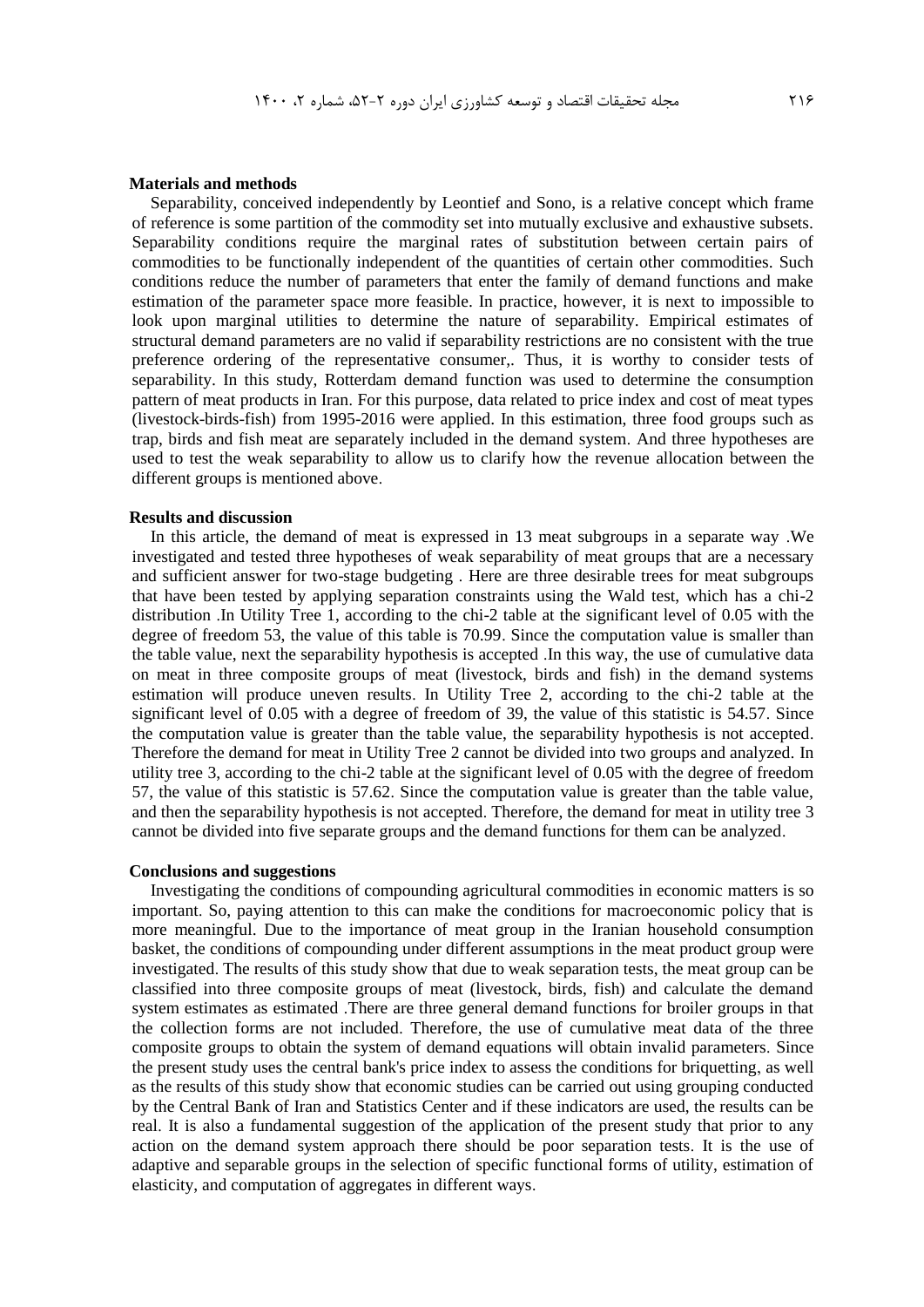### **Materials and methods**

 Separability, conceived independently by Leontief and Sono, is a relative concept which frame of reference is some partition of the commodity set into mutually exclusive and exhaustive subsets. Separability conditions require the marginal rates of substitution between certain pairs of commodities to be functionally independent of the quantities of certain other commodities. Such conditions reduce the number of parameters that enter the family of demand functions and make estimation of the parameter space more feasible. In practice, however, it is next to impossible to look upon marginal utilities to determine the nature of separability. Empirical estimates of structural demand parameters are no valid if separability restrictions are no consistent with the true preference ordering of the representative consumer,. Thus, it is worthy to consider tests of separability. In this study, Rotterdam demand function was used to determine the consumption pattern of meat products in Iran. For this purpose, data related to price index and cost of meat types (livestock-birds-fish) from 1995-2016 were applied. In this estimation, three food groups such as trap, birds and fish meat are separately included in the demand system. And three hypotheses are used to test the weak separability to allow us to clarify how the revenue allocation between the different groups is mentioned above.

### **Results and discussion**

 In this article, the demand of meat is expressed in 13 meat subgroups in a separate way .We investigated and tested three hypotheses of weak separability of meat groups that are a necessary and sufficient answer for two-stage budgeting . Here are three desirable trees for meat subgroups that have been tested by applying separation constraints using the Wald test, which has a chi-2 distribution .In Utility Tree 1, according to the chi-2 table at the significant level of 0.05 with the degree of freedom 53, the value of this table is 70.99. Since the computation value is smaller than the table value, next the separability hypothesis is accepted .In this way, the use of cumulative data on meat in three composite groups of meat (livestock, birds and fish) in the demand systems estimation will produce uneven results. In Utility Tree 2, according to the chi-2 table at the significant level of 0.05 with a degree of freedom of 39, the value of this statistic is 54.57. Since the computation value is greater than the table value, the separability hypothesis is not accepted. Therefore the demand for meat in Utility Tree 2 cannot be divided into two groups and analyzed. In utility tree 3, according to the chi-2 table at the significant level of 0.05 with the degree of freedom 57, the value of this statistic is 57.62. Since the computation value is greater than the table value, and then the separability hypothesis is not accepted. Therefore, the demand for meat in utility tree 3 cannot be divided into five separate groups and the demand functions for them can be analyzed.

#### **Conclusions and suggestions**

 Investigating the conditions of compounding agricultural commodities in economic matters is so important. So, paying attention to this can make the conditions for macroeconomic policy that is more meaningful. Due to the importance of meat group in the Iranian household consumption basket, the conditions of compounding under different assumptions in the meat product group were investigated. The results of this study show that due to weak separation tests, the meat group can be classified into three composite groups of meat (livestock, birds, fish) and calculate the demand system estimates as estimated .There are three general demand functions for broiler groups in that the collection forms are not included. Therefore, the use of cumulative meat data of the three composite groups to obtain the system of demand equations will obtain invalid parameters. Since the present study uses the central bank's price index to assess the conditions for briquetting, as well as the results of this study show that economic studies can be carried out using grouping conducted by the Central Bank of Iran and Statistics Center and if these indicators are used, the results can be real. It is also a fundamental suggestion of the application of the present study that prior to any action on the demand system approach there should be poor separation tests. It is the use of adaptive and separable groups in the selection of specific functional forms of utility, estimation of elasticity, and computation of aggregates in different ways.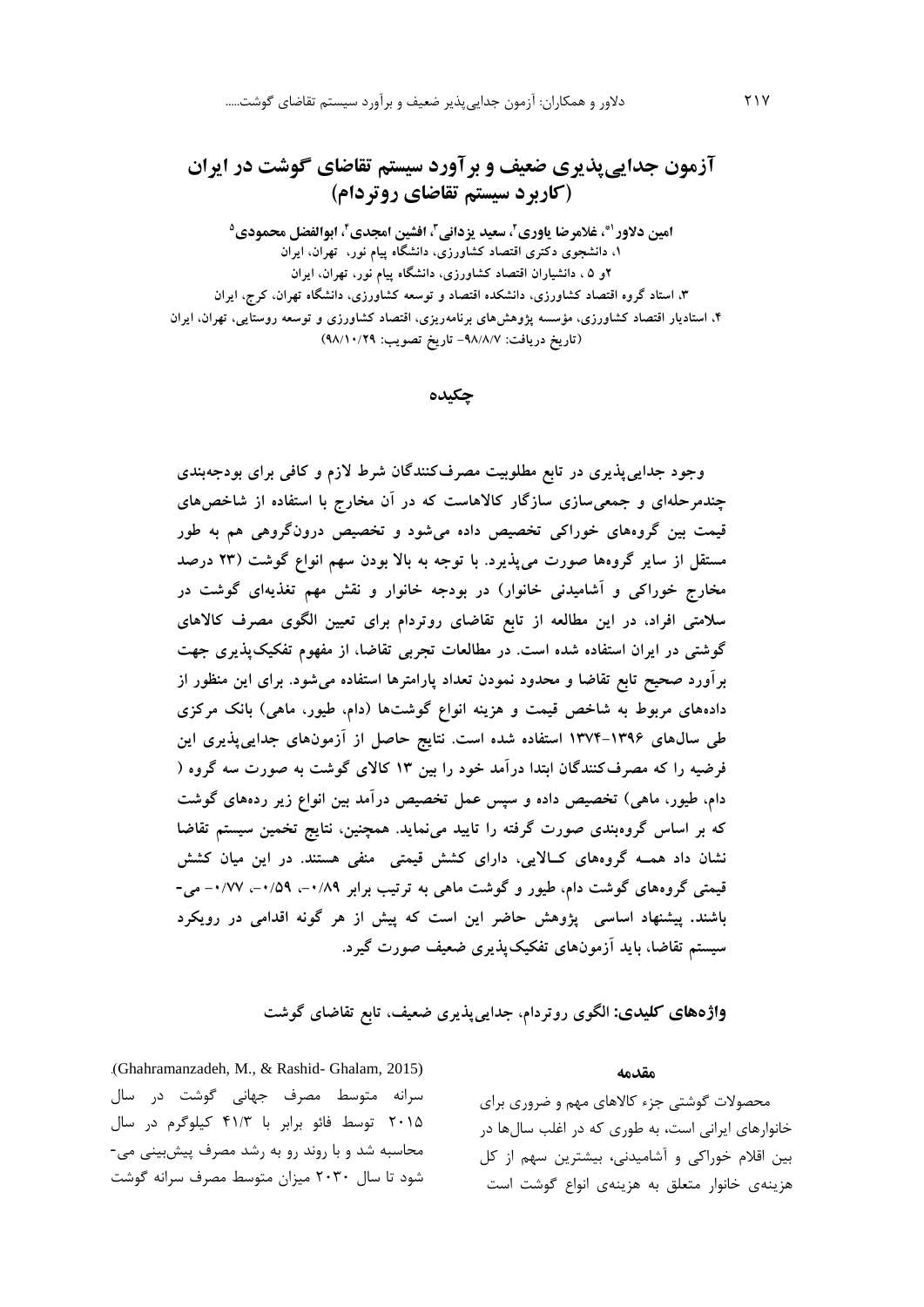# **آزمون جداییپذیری ضعیف و برآورد سیستم تقاضای گوشت در ایران )کاربرد سیستم تقاضای روتردام(**

**1\*، غالمرضا یاوری،<sup>2</sup> سعید یزدانی،<sup>3</sup> افشین امجدی،<sup>4</sup> ابوالفضل محمودی<sup>5</sup> امین دالور ،1 دانشجوی دکتری اقتصاد کشاورزی، دانشگاه پیام نور، تهران، ایران 2و 5 ، دانشیاران اقتصاد کشاورزی، دانشگاه پیام نور، تهران، ایران ،3 استاد گروه اقتصاد کشاورزی، دانشکده اقتصاد و توسعه کشاورزی، دانشگاه تهران، کرج، ایران ،4 استادیار اقتصاد کشاورزی، مؤسسه پژوهشهای برنامهریزی، اقتصاد کشاورزی و توسعه روستایی، تهران، ایران )تاریخ دریافت: -98/8/7 تاریخ تصویب: 98/10/29(**

**چکیده**

**وجود جداییپذیری در تابع مطلوبیت مصرفکنندگان شرط الزم و کافی برای بودجهبندی چندمرحلهای و جمعیسازی سازگار کاالهاست که در آن مخارج با استفاده از شاخصهای قیمت بین گروههای خوراکی تخصیص داده میشود و تخصیص درونگروهی هم به طور مستقل از سایر گروهها صورت میپذیرد. با توجه به باال بودن سهم انواع گوشت )23 درصد مخارج خوراکی و آشامیدنی خانوار( در بودجه خانوار و نقش مهم تغذیهای گوشت در سالمتی افراد، در این مطالعه از تابع تقاضای روتردام برای تعیین الگوی مصرف کاالهای گوشتی در ایران استفاده شده است. در مطالعات تجربی تقاضا، از مفهوم تفکیكپذیری جهت برآورد صحیح تابع تقاضا و محدود نمودن تعداد پارامترها استفاده میشود. برای این منظور از دادههای مربوط به شاخص قیمت و هزینه انواع گوشتها )دام، طیور، ماهی( بانك مرکزی طی سالهای 1374-1396 استفاده شده است. نتایج حاصل از آزمونهای جداییپذیری این فرضیه را که مصرفکنندگان ابتدا درآمد خود را بین 13 کاالی گوشت به صورت سه گروه ) دام، طیور، ماهی( تخصیص داده و سپس عمل تخصیص درآمد بین انواع زیر ردههای گوشت که بر اساس گروهبندی صورت گرفته را تایید مینماید. همچنین، نتایج تخمین سیستم تقاضا نشان داد همـه گروههای کـاالیی، دارای کشش قیمتی منفی هستند. در این میان کشش قیمتی گروههای گوشت دام، طیور و گوشت ماهی به ترتیب برابر ،-0/89 ،-0/59 -0/77 می- باشند. پیشنهاد اساسی پژوهش حاضر این است که پیش از هر گونه اقدامی در رویکرد سیستم تقاضا، باید آزمونهای تفکیكپذیری ضعیف صورت گیرد.**

**واژههای کلیدی: الگوی روتردام، جداییپذیری ضعیف، تابع تقاضای گوشت**

.)Ghahramanzadeh, M., & Rashid- Ghalam, 2015) سرانه متوسط مصرف جهانی گوشت در سال 2015 توسط فائو برابر با 41/3 کیلوگرم در سال محاسبه شد و با روند رو به رشد مصرف پیشبینی می- شود تا سال 2030 میزان متوسط مصرف سرانه گوشت

**مقدمه**

محصوالت گوشتی جزء کاالهاي مهم و ضروري براي خانوارهاي ايرانی است، به طوري که در اغلب سالها در بین اقالم خوراکی و آشامیدنی، بیشترين سهم از کل هزينهي خانوار متعلق به هزينهي انواع گوشت است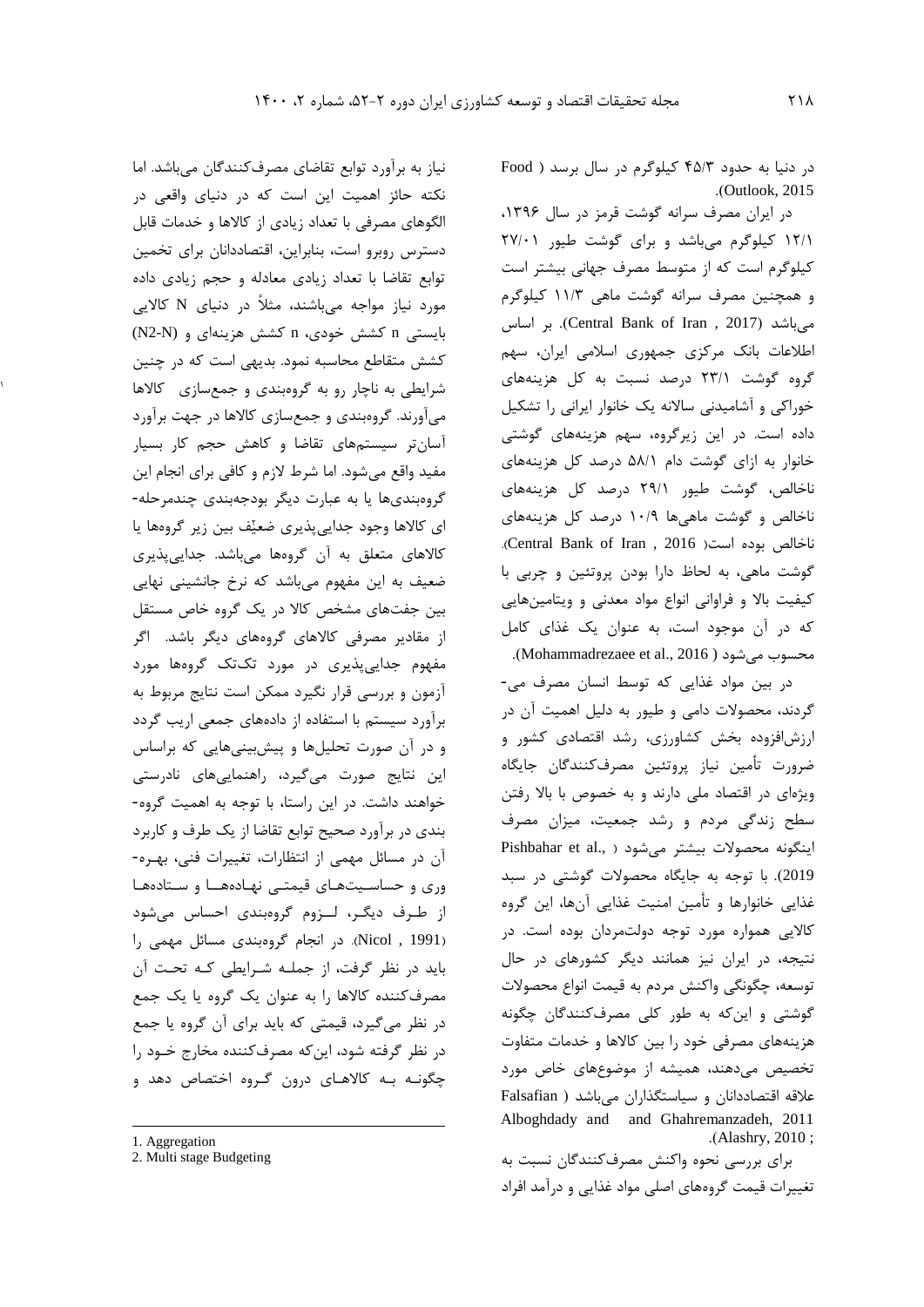در دنیا به حدود 45/3 کیلوگرم در سال برسد ) Food .)Outlook, 2015

در ايران مصرف سرانه گوشت قرمز در سال ۱۳۹۶، 12/1 کیلوگرم میباشد و براي گوشت طیور 27/01 کیلوگرم است که از متوسط مصرف جهانی بیشتر است و همچنین مصرف سرانه گوشت ماهی 11/3 کیلوگرم اساس بر .(Central Bank of Iran , 2017( میباشد اطالعات بانک مرکزي جمهوري اسالمی ايران، سهم گروه گوشت 23/1 درصد نسبت به کل هزينههاي خوراکی و آشامیدنی ساالنه يک خانوار ايرانی را تشکیل داده است. در اين زيرگروه، سهم هزينههاي گوشتی خانوار به ازاي گوشت دام 58/1 درصد کل هزينههاي ناخالص، گوشت طیور 29/1 درصد کل هزينههاي ناخالص و گوشت ماهیها 10/9 درصد کل هزينههاي .)Central Bank of Iran , 2016 (است بوده ناخالص گوشت ماهی، به لحاظ دارا بودن پروتئین و چربی با کیفیت باال و فراوانی انواع مواد معدنی و ويتامینهايی که در آن موجود است، به عنوان يک غذاي کامل .)Mohammadrezaee et al., 2016 ) میشود محسوب

در بین مواد غذايی که توسط انسان مصرف می- گردند، محصوالت دامی و طیور به دلیل اهمیت آن در ارزشافزوده بخش کشاورزي، رشد اقتصادي کشور و ضرورت تأمین نیاز پروتئین مصرفکنندگان جايگاه ويژهاي در اقتصاد ملی دارند و به خصوص با باال رفتن سطح زندگی مردم و رشد جمعیت، میزان مصرف اينگونه محصوالت بیشتر میشود ) .,al et Pishbahar 2019(. با توجه به جايگاه محصوالت گوشتی در سبد غذايی خانوارها و تأمین امنیت غذايی آنها، اين گروه کااليی همواره مورد توجه دولتمردان بوده است. در نتیجه، در ايران نیز همانند ديگر کشورهاي در حال توسعه، چگونگی واکنش مردم به قیمت انواع محصوالت گوشتی و اينکه به طور کلی مصرفکنندگان چگونه هزينههاي مصرفی خود را بین کاالها و خدمات متفاوت تخصیص میدهند، همیشه از موضوعهاي خاص مورد عالقه اقتصاددانان و سیاستگذاران میباشد ) Falsafian Alboghdady and and Ghahremanzadeh, 2011 .)Alashry, 2010 ;

براي بررسی نحوه واکنش مصرفکنندگان نسبت به تغییرات قیمت گروههاي اصلی مواد غذايی و درآمد افراد

نیاز به برآورد توابع تقاضاي مصرفکنندگان میباشد. اما نکته حائز اهمیت اين است که در دنیاي واقعی در الگوهاي مصرفی با تعداد زيادي از کاالها و خدمات قابل دسترس روبرو است، بنابراين، اقتصاددانان براي تخمین توابع تقاضا با تعداد زيادي معادله و حجم زيادي داده مورد نیاز مواجه میباشند، مثالا در دنیاي N کااليی بايستی n کشش خودي، n کشش هزينهاي و (N2-N( کشش متقاطع محاسبه نمود. بديهی است که در چنین شرايطی به ناچار رو به گروهبندی و جمعسازی گالاها میآورند. گروهبندي و جمعسازي کاالها در جهت برآورد آسانتر سیستمهاي تقاضا و کاهش حجم کار بسیار مفید واقع میشود. اما شرط الزم و کافی براي انجام اين گروهبنديها يا به عبارت ديگر بودجهبندي چندمرحله- ای کالاها وجود جدايی پذيري ضعیْف بین زير گروهها يا کاالهاي متعلق به آن گروهها میباشد. جدايیپذيري ضعیف به اين مفهوم میباشد که نرخ جانشینی نهايی بین جفتهاي مشخص کاال در يک گروه خاص مستقل از مقادير مصرفی کاالهاي گروههاي ديگر باشد. اگر مفهوم جدايیپذيري در مورد تکتک گروهها مورد آزمون و بررسی قرار نگیرد ممکن است نتايج مربوط به برآورد سیستم با استفاده از دادههاي جمعی اريب گردد و در آن صورت تحلیلها و پیشبینیهايی که براساس اين نتايج صورت میگیرد، راهنمايیهاي نادرستی خواهند داشت. در اين راستا، با توجه به اهمیت گروه- بندي در برآورد صحیح توابع تقاضا از يک طرف و کاربرد آن در مسائل مهمی از انتظارات، تغییرات فنی، بهـره- وري و حساسـیتهـاي قیمتـی نهـادههــا و سـتادههـا از طـرف ديگـر، لــزوم گروهبندي احساس میشود )1991 , Nicol). در انجام گروهبندي مسائل مهمی را بايد در نظر گرفت، از جملـه شـرايطی کـه تحـت آن مصرفکننده کاالها را به عنوان يک گروه يا يک جمع در نظر میگیرد، قیمتی که بايد براي آن گروه يا جمع در نظر گرفته شود، اينکه مصرفکننده مخارج خـود را چگونـه بـه کاالهـاي درون گـروه اختصاص دهد و

 $\overline{\phantom{a}}$ 

1

<sup>1.</sup> Aggregation

<sup>2.</sup> Multi stage Budgeting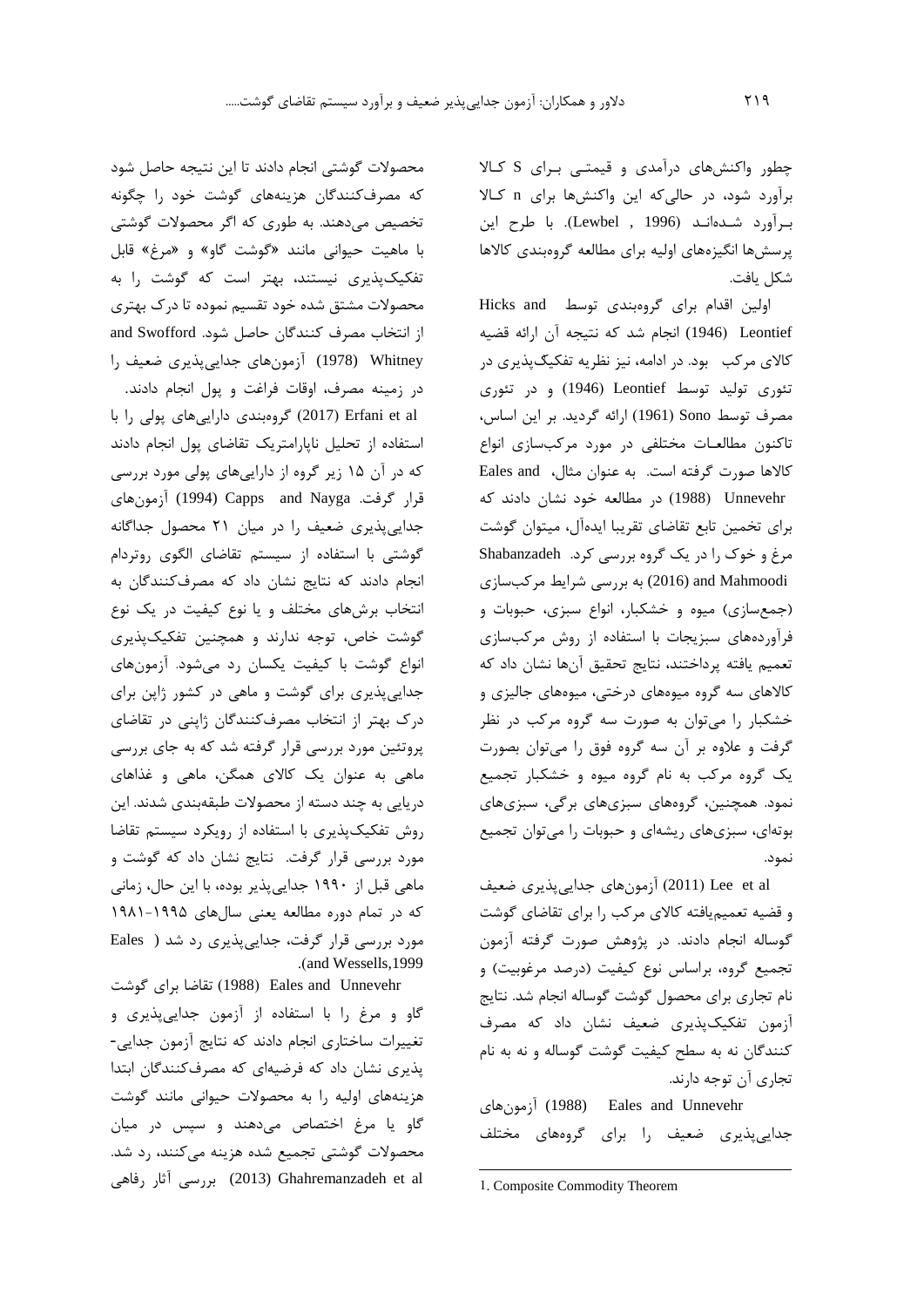چطور واکنشهاي درآمدي و قیمتـی بـراي S کـاال برآورد شود، در حالیکه اين واکنشها براي n کـاال بـرآورد شـدهانـد )1996 , Lewbel). با طرح اين پرسشها انگیزههاي اولیه براي مطالعه گروهبندي کاالها شکل يافت.

اولین اقدام برای گروهبندی توسط Hicks and Leontief( 1946 (انجام شد که نتیجه آن ارائه قضیه کالای مرکب۔ بود. در ادامه، نیز نظریه تفکیگپذیری در تئوري تولید توسط Leontief( 1946 )و در تئوري مصرف توسط Sono( 1961 )ارائه گرديد. بر اين اساس، تاکنون مطالعـات مختلفی در مورد مرکبسازي انواع کاالها صورت گرفته است. به عنوان مثال، and Eales Unnevehr (1988 ) در مطالعه خود نشان دادند که براي تخمین تابع تقاضاي تقريبا ايدهآل، میتوان گوشت مرغ و خوک را در يک گروه بررسی کرد. Shabanzadeh Mahmoodi and) 2016 (به بررسی شرايط مرکبسازي )جمعسازي( میوه و خشکبار، انواع سبزي، حبوبات و فرآوردههاي سبزيجات با استفاده از روش مرکبسازي تعمیم يافته پرداختند، نتايج تحقیق آنها نشان داد که کاالهاي سه گروه میوههاي درختی، میوههاي جالیزي و خشکبار را میتوان به صورت سه گروه مرکب در نظر گرفت و عالوه بر آن سه گروه فوق را میتوان بصورت يک گروه مرکب به نام گروه میوه و خشکبار تجمیع نمود. همچنین، گروههاي سبزيهاي برگی، سبزيهاي بوتهاي، سبزيهاي ريشهاي و حبوبات را میتوان تجمیع نمود.

al et Lee( 2011 )آزمونهاي جدايیپذيري ضعیف و قضیه تعمیميافته کاالي مرکب را براي تقاضاي گوشت گوساله انجام دادند. در پژوهش صورت گرفته آزمون تجمیع گروه، براساس نوع کیفیت (درصد مرغوبیت) و نام تجاري براي محصول گوشت گوساله انجام شد. نتايج آزمون تفکیکپذيري ضعیف نشان داد که مصرف کنندگان نه به سطح کیفیت گوشت گوساله و نه به نام تجاري آن توجه دارند.

آزمونهاي) 1988 (Eales and Unnevehr جدايیپذيري ضعیف را براي گروههاي مختلف

1. Composite Commodity Theorem

-

محصوالت گوشتی انجام دادند تا اين نتیجه حاصل شود که مصرفکنندگان هزينههاي گوشت خود را چگونه تخصیص میدهند. به طوري که اگر محصوالت گوشتی با ماهیت حیوانی مانند »گوشت گاو« و »مرغ« قابل تفکیکپذيري نیستند، بهتر است که گوشت را به محصوالت مشتق شده خود تقسیم نموده تا درک بهتري از انتخاب مصرف کنندگان حاصل شود. Swofford and Whitney) 1978 (آزمونهاي جدايیپذيري ضعیف را در زمینه مصرف، اوقات فراغت و پول انجام دادند. al et Erfani( 2017 )گروهبندي دارايیهاي پولی را با استفاده از تحلیل ناپارامتريک تقاضاي پول انجام دادند که در آن 15 زير گروه از دارايیهاي پولی مورد بررسی قرار گرفت. Nayga and Capps) 1994 (آزمونهاي جدايیپذيري ضعیف را در میان 21 محصول جداگانه گوشتی با استفاده از سیستم تقاضاي الگوي روتردام انجام دادند که نتايج نشان داد که مصرفکنندگان به انتخاب برشهاي مختلف و يا نوع کیفیت در يک نوع گوشت خاص، توجه ندارند و همچنین تفکیکپذيري انواع گوشت با کیفیت يکسان رد میشود. آزمونهاي جدايیپذيري براي گوشت و ماهی در کشور ژاپن براي درک بهتر از انتخاب مصرفکنندگان ژاپنی در تقاضاي پروتئین مورد بررسی قرار گرفته شد که به جاي بررسی ماهی به عنوان يک کاالي همگن، ماهی و غذاهاي دريايی به چند دسته از محصوالت طبقهبندي شدند. اين روش تفکیکپذيري با استفاده از رويکرد سیستم تقاضا مورد بررسی قرار گرفت. نتايج نشان داد که گوشت و ماهی قبل از 1990 جدايیپذير بوده، با اين حال، زمانی که در تمام دوره مطالعه يعنی سالهاي 1981-1995 مورد بررسی قرار گرفت، جدايیپذيري رد شد ( Eales .(and Wessells,1999)

تقاضا براي گوشت (1988 ) Eales and Unnevehr گاو و مرغ را با استفاده از آزمون جدايیپذيري و تغییرات ساختاري انجام دادند که نتايج آزمون جدايی- پذيري نشان داد که فرضیهاي که مصرفکنندگان ابتدا هزينههاي اولیه را به محصوالت حیوانی مانند گوشت گاو يا مرغ اختصاص میدهند و سپس در میان محصوالت گوشتی تجمیع شده هزينه میکنند، رد شد. al et Ghahremanzadeh) 2013 (بررسی آثار رفاهی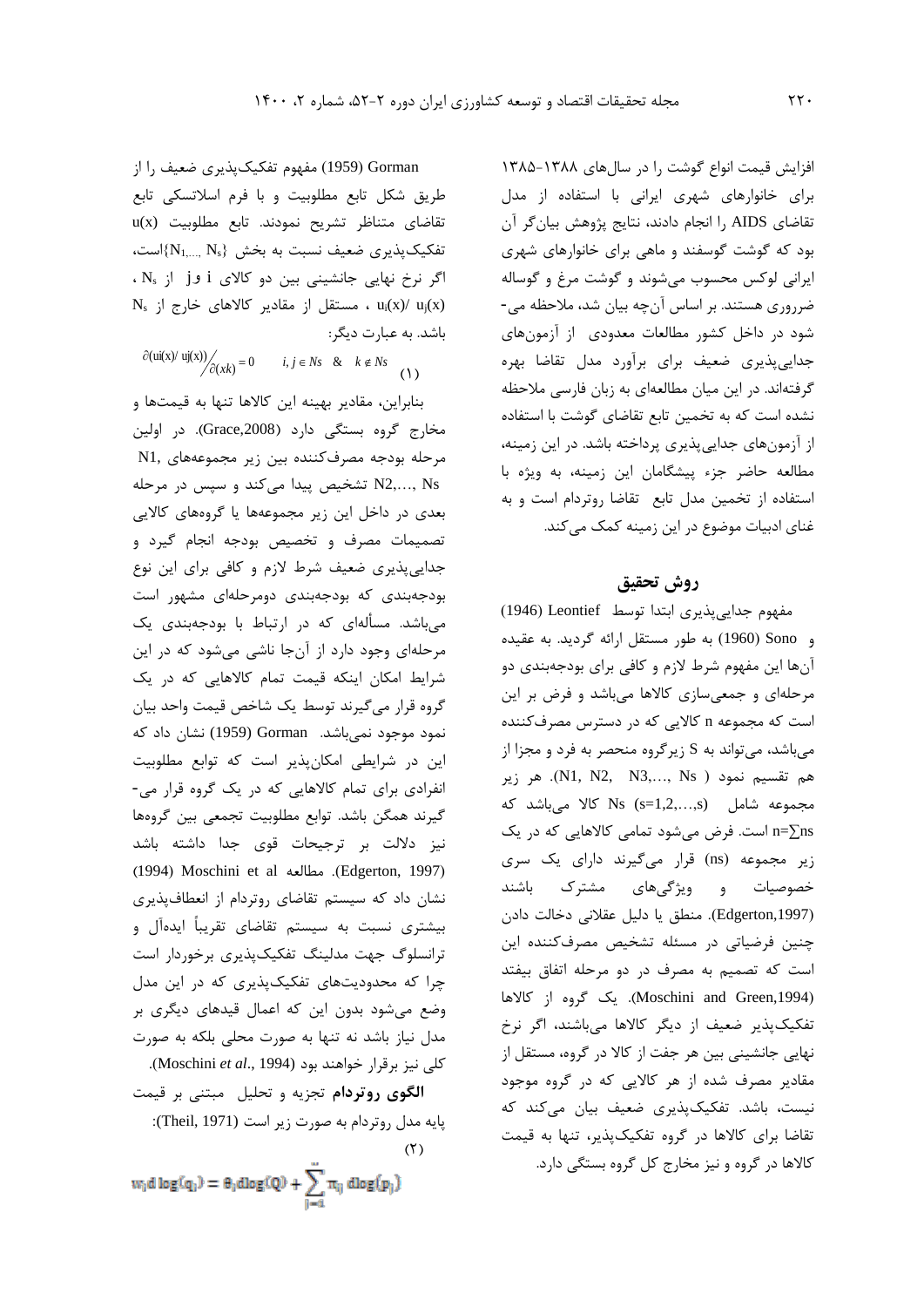افزايش قیمت انواع گوشت را در سالهاي 1385-1388 براي خانوارهاي شهري ايرانی با استفاده از مدل تقاضاي AIDS را انجام دادند، نتايج پژوهش بیانگر آن بود که گوشت گوسفند و ماهی براي خانوارهاي شهري ايرانی لوکس محسوب میشوند و گوشت مرغ و گوساله ضرروري هستند. بر اساس آنچه بیان شد، مالحظه می- شود در داخل کشور مطالعات معدودي از آزمونهاي جدايیپذيري ضعیف براي برآورد مدل تقاضا بهره گرفتهاند. در اين میان مطالعهاي به زبان فارسی مالحظه نشده است که به تخمین تابع تقاضاي گوشت با استفاده از آزمونهاي جدايیپذيري پرداخته باشد. در اين زمینه، مطالعه حاضر جزء پیشگامان اين زمینه، به ويژه با استفاده از تخمین مدل تابع تقاضا روتردام است و به غناي ادبیات موضوع در اين زمینه کمک میکند.

## **روش تحقیق**

مفهوم جدايیپذيري ابتدا توسط Leontief( 1946 ) و Sono( 1960 )به طور مستقل ارائه گرديد. به عقیده آنها اين مفهوم شرط الزم و کافی براي بودجهبندي دو مرحلهاي و جمعیسازي کاالها میباشد و فرض بر اين است که مجموعه n کااليی که در دسترس مصرفکننده میباشد، میتواند به S زيرگروه منحصر به فرد و مجزا از هم تقسيم نمود ( N1, N2, N3,..., Ns). هر زير مجموعه شامل (s,…1,2,=s (Ns کاال میباشد که ns=∑n است. فرض میشود تمامی کاالهايی که در يک زير مجموعه (ns) قرار می گيرند داراي يک سري خصوصیات و ويژگیهاي مشترک باشند ),1997Edgerton). منطق يا دلیل عقالنی دخالت دادن چنین فرضیاتی در مسئله تشخیص مصرفکننده اين است که تصمیم به مصرف در دو مرحله اتفاق بیفتد ),1994Green and Moschini). يک گروه از کاالها تفکیکپذير ضعیف از ديگر کاالها میباشند، اگر نرخ نهايی جانشینی بین هر جفت از کاال در گروه، مستقل از مقادير مصرف شده از هر کااليی که در گروه موجود نیست، باشد. تفکیکپذيري ضعیف بیان میکند که تقاضا براي کاالها در گروه تفکیکپذير، تنها به قیمت کاالها در گروه و نیز مخارج کل گروه بستگی دارد.

Gorman( 1959 )مفهوم تفکیکپذيري ضعیف را از طريق شکل تابع مطلوبیت و با فرم اسالتسکی تابع تقاضاي متناظر تشريح نمودند. تابع مطلوبیت (x(u تفکیکپذیری ضعیف نسبت به بخش  $\{N_{1,...,N_{s}}\}$ است، اگر نرخ نهايی جانشینی بین دو کاالي i وj از N<sup>s</sup> ،  $N_s$  ، مستقل از مقادير کالاهای خارج از  $u_i(x) / u_j(x)$ باشد. به عبارت ديگر:

 $\partial(\text{ui(x)}/\text{ uj(x)})/_{\partial(xk)} = 0$   $i, j \in Ns$  &  $k \notin Ns$  (1)

بنابراين، مقادير بهینه اين کاالها تنها به قیمتها و مخارج گروه بستگی دارد ),2008Grace). در اولین مرحله بودجه مصرفکننده بین زير مجموعههاي 1,N Ns ,…2,N تشخیص پیدا میکند و سپس در مرحله بعدي در داخل اين زير مجموعهها يا گروههاي کااليی تصمیمات مصرف و تخصیص بودجه انجام گیرد و جدايیپذيري ضعیف شرط الزم و کافی براي اين نوع بودجهبندي که بودجهبندي دومرحلهاي مشهور است میباشد. مسألهاي که در ارتباط با بودجهبندي يک مرحلهاي وجود دارد از آنجا ناشی میشود که در اين شرايط امکان اينکه قیمت تمام کاالهايی که در يک گروه قرار میگیرند توسط يک شاخص قیمت واحد بیان نمود موجود نمیباشد. Gorman) 1959 (نشان داد که اين در شرايطی امکانپذير است که توابع مطلوبیت انفرادي براي تمام کاالهايی که در يک گروه قرار می- گیرند همگن باشد. توابع مطلوبیت تجمعی بین گروهها نیز داللت بر ترجیحات قوي جدا داشته باشد )1994( Moschini et al مطالعه .(Edgerton, 1997( نشان داد که سیستم تقاضاي روتردام از انعطافپذيري بیشتري نسبت به سیستم تقاضاي تقريباا ايدهآل و ترانسلوگ جهت مدلینگ تفکیکپذيري برخوردار است چرا که محدوديتهاي تفکیکپذيري که در اين مدل وضع میشود بدون اين که اعمال قیدهاي ديگري بر مدل نیاز باشد نه تنها به صورت محلی بلکه به صورت کلی نیز برقرار خواهند بود (1994 .,*al et* Moschini).

**الگوي روتردام** تجزيه و تحلیل مبتنی بر قیمت پايه مدل روتردام به صورت زير است (1971 ,Theil(:  $(7)$ 

$$
w_i d \log(q_i) = \theta_i d \log(Q) + \sum_{j=1}^n \pi_{ij} d \log(p_j)
$$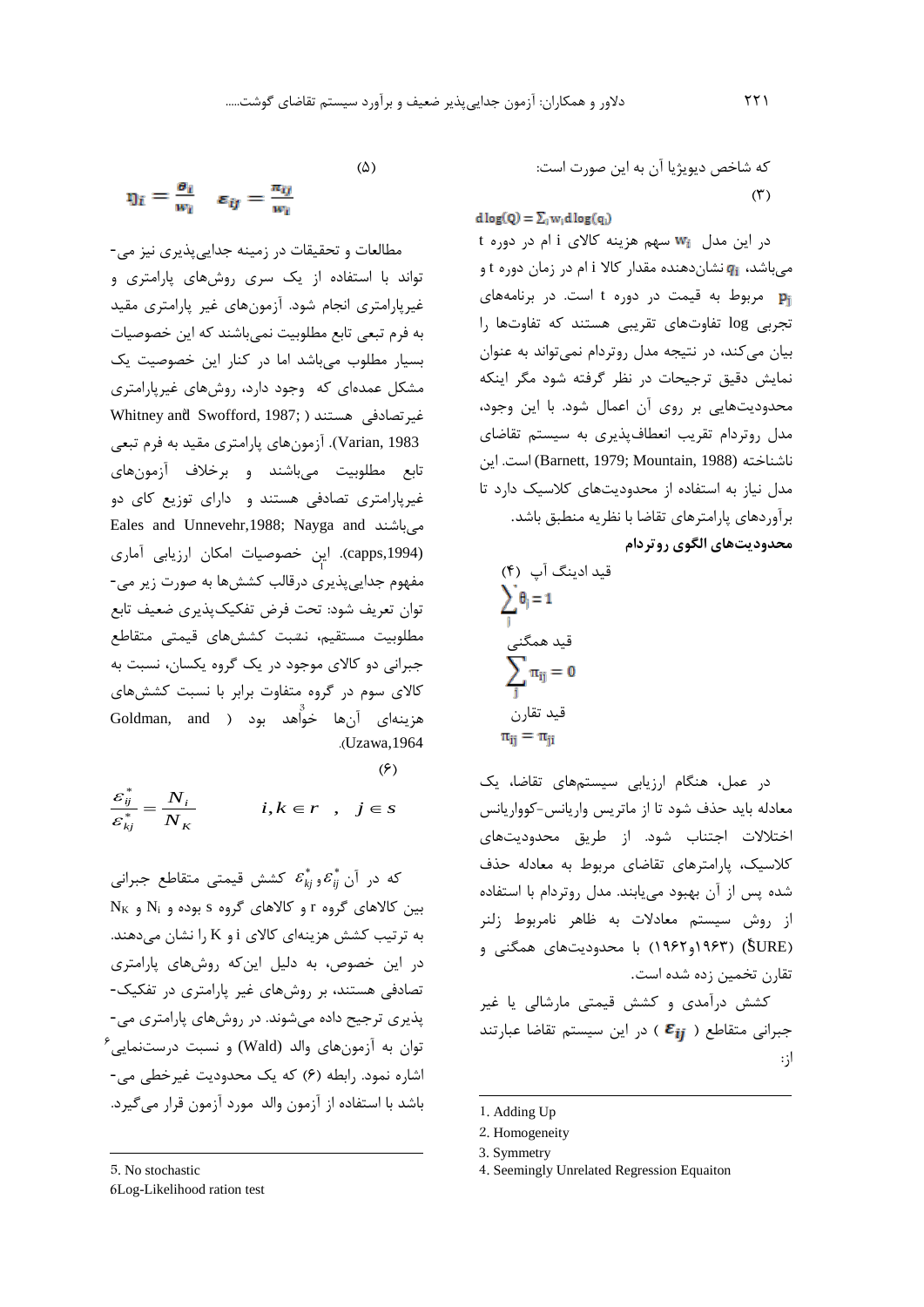که شاخص ديويژيا آن به اين صورت است: )3(

 $d \log(Q) = \sum_i w_i d \log(q_i)$ 

در اين مدل سهم هزينه کاالي i ام در دوره t میباشد، نشاندهنده مقدار کاال i ام در زمان دوره t و مربوط به قیمت در دوره t است. در برنامههاي تجربی log تفاوتهاي تقريبی هستند که تفاوتها را بیان میکند، در نتیجه مدل روتردام نمیتواند به عنوان نمايش دقیق ترجیحات در نظر گرفته شود مگر اينکه محدوديتهايی بر روي آن اعمال شود. با اين وجود، مدل روتردام تقريب انعطافپذيري به سیستم تقاضاي ناشناخته (1988 ,Mountain, 1988) است. اين مدل نیاز به استفاده از محدوديتهاي کالسیک دارد تا برآوردهاي پارامترهاي تقاضا با نظريه منطبق باشد. **محدوديتهاي الگوي روتردام**

$$
(f) \cup i \in \sum_{j=1}^{n} \theta_{j} = 1
$$
  
قید همگنی  

$$
\sum_{j} \pi_{ij} = 0
$$
  

$$
\bar{\alpha}_{ij} = \pi_{ji}
$$

در عمل، هنگام ارزيابی سیستمهاي تقاضا، يک معادله بايد حذف شود تا از ماتريس واريانس-کوواريانس اختالالت اجتناب شود. از طريق محدوديتهاي کالسیک، پارامترهاي تقاضاي مربوط به معادله حذف شده پس از آن بهبود میيابند. مدل روتردام با استفاده از روش سیستم معادالت به ظاهر نامربوط زلنر SURE( 4 ) )1963و1962( با محدوديتهاي همگنی و تقارن تخمین زده شده است.

کشش درآمدي و کشش قیمتی مارشالی يا غیر جبرانی متقاطع ( Eij ) در اين سيستم تقاضا عبارتند از:

-

$$
(\Diamond)
$$

$$
\eta_i = \frac{\theta_i}{w_i} \quad \varepsilon_{ij} = \frac{\pi_{ij}}{w_i} \tag{2}
$$

 قید ادينگ آپ <sup>1</sup> مفهوم جدايیپذيري درقالب کششها به صورت زير می- قید هم*گن*ی مطلوبیت مستقیم، نشبت قیمتی متقاطع قید تقارن <sup>3</sup> هزينهاي آنها خواهد بود ) and ,Goldman مطالعات و تحقیقات در زمینه جدايیپذيري نیز می- تواند با استفاده از يک سري روشهاي پارامتري و غیرپارامتري انجام شود. آزمونهاي غیر پارامتري مقید به فرم تبعی تابع مطلوبیت نمیباشند که اين خصوصیات بسیار مطلوب میباشد اما در کنار اين خصوصیت يک مشکل عمدهاي که وجود دارد، روشهاي غیرپارامتري غیرتصادفی <sup>5</sup> Whitney and Swofford, 1987; ( هستند 1983 ,Varian). آزمونهاي پارامتري مقید به فرم تبعی تابع مطلوبیت میباشند و برخالف آزمونهاي غیرپارامتري تصادفی هستند و داراي توزيع کاي دو Eales and Unnevehr,1988; Nayga and میباشند (,1994capps). اين خصوصیات امکان ارزيابی آماري توان تعريف شود: تحت فرض تفکیکپذيري ضعیف تابع جبرانی دو کاالي موجود در يک گروه يکسان، نسبت به کاالي سوم در گروه متفاوت برابر با نسبت کششهاي .)Uzawa,1964

 $(5)$ 

$$
\frac{\varepsilon_{ij}^*}{\varepsilon_{kj}^*} = \frac{N_i}{N_K} \qquad i, k \in r \quad , \quad j \in s
$$

 $_{ij}^{\ast}$  که در آن  $\epsilon_{\scriptscriptstyle{kj}}^*$  و $\varepsilon_{\scriptscriptstyle{ij}}^*$ *kj* کشش قیمتی متقاطع جبرانی  $N_{K}$  بین کالاهای گروه r و کالاهای گروه s بوده و NK و به ترتیب کشش هزينهاي کاالي i و K را نشان میدهند. در اين خصوص، به دلیل اينکه روشهاي پارامتري تصادفی هستند، بر روشهاي غیر پارامتري در تفکیک- پذيري ترجیح داده میشوند. در روشهاي پارامتري می-  $^{\circ}$ توان به آزمونهای والد (Wald) و نسبت درستنمایی اشاره نمود. رابطه (۶) که يک محدوديت غيرخطی می-باشد با استفاده از آزمون والد مورد آزمون قرار میگیرد.

5. No stochastic

 $\overline{a}$ 

6. Log-Likelihood ration test

<sup>1</sup>. Adding Up

<sup>2</sup>. Homogeneity

<sup>3.</sup> Symmetry

<sup>4</sup>. Seemingly Unrelated Regression Equaiton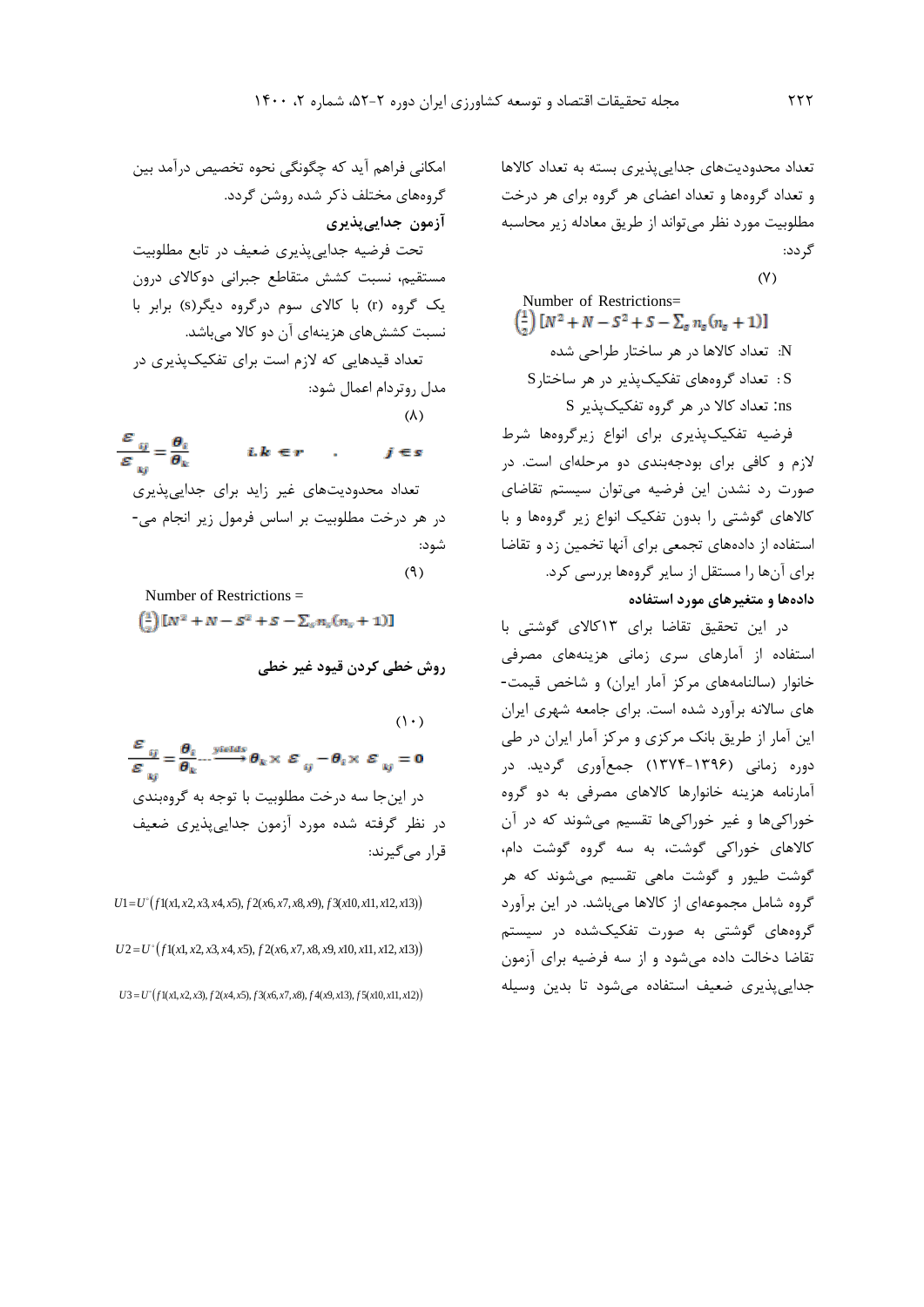تعداد محدوديتهاي جدايیپذيري بسته به تعداد کاالها و تعداد گروهها و تعداد اعضاي هر گروه براي هر درخت مطلوبیت مورد نظر میتواند از طريق معادله زير محاسبه گردد:

 $(Y)$ 

Number of Restrictions=  
\n
$$
\left(\frac{1}{2}\right)[N^2 + N - S^2 + S - \sum_s n_s (n_s + 1)]
$$
\nand 
$$
N^2
$$
\n
$$
N^2
$$
\n
$$
N^2
$$
\n
$$
N^2
$$
\n
$$
N^2
$$
\n
$$
N^2
$$
\n
$$
N^2
$$
\n
$$
N^2
$$
\n
$$
N^2
$$
\n
$$
N^2
$$
\n
$$
N^2
$$
\n
$$
N^2
$$
\n
$$
N^2
$$
\n
$$
N^2
$$
\n
$$
N^2
$$
\n
$$
N^2
$$
\n
$$
N^2
$$
\n
$$
N^2
$$
\n
$$
N^2
$$
\n
$$
N^2
$$
\n
$$
N^2
$$
\n
$$
N^2
$$
\n
$$
N^2
$$
\n
$$
N^2
$$
\n
$$
N^2
$$
\n
$$
N^2
$$
\n
$$
N^2
$$
\n
$$
N^2
$$
\n
$$
N^2
$$
\n
$$
N^2
$$
\n
$$
N^2
$$
\n
$$
N^2
$$
\n
$$
N^2
$$
\n
$$
N^2
$$
\n
$$
N^2
$$
\n
$$
N^2
$$
\n
$$
N^2
$$
\n
$$
N^2
$$
\n
$$
N^2
$$
\n
$$
N^2
$$
\n
$$
N^2
$$
\n
$$
N^2
$$
\n
$$
N^2
$$
\n
$$
N^2
$$
\n
$$
N^2
$$
\n
$$
N^2
$$
\n
$$
N^2
$$
\n
$$
N^2
$$
\n
$$
N^2
$$
\n
$$
N^2
$$
\n
$$
N^2
$$
\n
$$
N^2
$$
\n
$$
N^2
$$
\n
$$
N^2
$$
\n
$$
N^2
$$

فرضیه تفکیکپذيري براي انواع زيرگروهها شرط الزم و کافی براي بودجهبندي دو مرحلهاي است. در صورت رد نشدن اين فرضیه میتوان سیستم تقاضاي کاالهاي گوشتی را بدون تفکیک انواع زير گروهها و با استفاده از دادههاي تجمعی براي آنها تخمین زد و تقاضا براي آنها را مستقل از ساير گروهها بررسی کرد. **دادهها و متغيرهاي مورد استفاده**

در اين تحقیق تقاضا براي 13کاالي گوشتی با استفاده از آمارهاي سري زمانی هزينههاي مصرفی خانوار )سالنامههاي مرکز آمار ايران( و شاخص قیمت- هاي ساالنه برآورد شده است. براي جامعه شهري ايران اين آمار از طريق بانک مرکزي و مرکز آمار ايران در طی دوره زمانی )1374-1396( جمعآوري گرديد. در آمارنامه هزينه خانوارها کاالهاي مصرفی به دو گروه خوراکیها و غیر خوراکیها تقسیم میشوند که در آن کاالهاي خوراکی گوشت، به سه گروه گوشت دام، گوشت طیور و گوشت ماهی تقسیم میشوند که هر گروه شامل مجموعهاي از کاالها میباشد. در اين برآورد گروههاي گوشتی به صورت تفکیکشده در سیستم تقاضا دخالت داده میشود و از سه فرضیه براي آزمون جدايیپذيري ضعیف استفاده میشود تا بدين وسیله

امکانی فراهم آيد که چگونگی نحوه تخصیص درآمد بین گروههاي مختلف ذکر شده روشن گردد. **آزمون جدايیپذيري** تحت فرضیه جدايیپذيري ضعیف در تابع مطلوبیت مستقیم، نسبت کشش متقاطع جبرانی دوکاالي درون يک گروه )r )با کاالي سوم درگروه ديگر)s )برابر با نسبت کششهاي هزينهاي آن دو کاال میباشد. تعداد قیدهايی که الزم است براي تفکیکپذيري در مدل روتردام اعمال شود:

 $(\lambda)$ 

 $\frac{\varepsilon_{ij}}{\varepsilon_{ki}} = \frac{\theta_i}{\theta_k}$  $i.k \in r$ .  $i \in s$ تعداد محدوديتهاي غیر زايد براي جدايیپذيري در هر درخت مطلوبیت بر اساس فرمول زير انجام می- شود:

 $(9)$ 

Number of Restrictions =

 $\binom{1}{3} [N^2 + N - S^2 + S - \sum_{s} n_s (n_s + 1)]$ 

**روش خطی کردن قيود غير خطی**

 $(1)$  $\frac{\varepsilon_{ij}}{\varepsilon_{ij}} = \frac{\theta_i}{\theta_k} \cdots \frac{\text{yields}}{\theta_k} \theta_k \times \varepsilon_{ij} - \theta_i \times \varepsilon_{kj} = 0$ در اينجا سه درخت مطلوبیت با توجه به گروهبندي در نظر گرفته شده مورد آزمون جدايیپذيري ضعیف قرار میگیرند:

 $U1 = U^{(0)}(f1(x1, x2, x3, x4, x5), f2(x6, x7, x8, x9), f3(x10, x11, x12, x13))$ 

 $U2 = U^{(0)}(f1(x1, x2, x3, x4, x5), f2(x6, x7, x8, x9, x10, x11, x12, x13))$ 

 $U$ 3 =  $U^{\circ}$ ( $f$ 1(*x*1, *x*2, *x*3),  $f$ 2(*x*4, *x*5),  $f$ 3(*x*6, *x*7, *x*8),  $f$ 4(*x*9, *x*13),  $f$ 5(*x*10, *x*11, *x*12))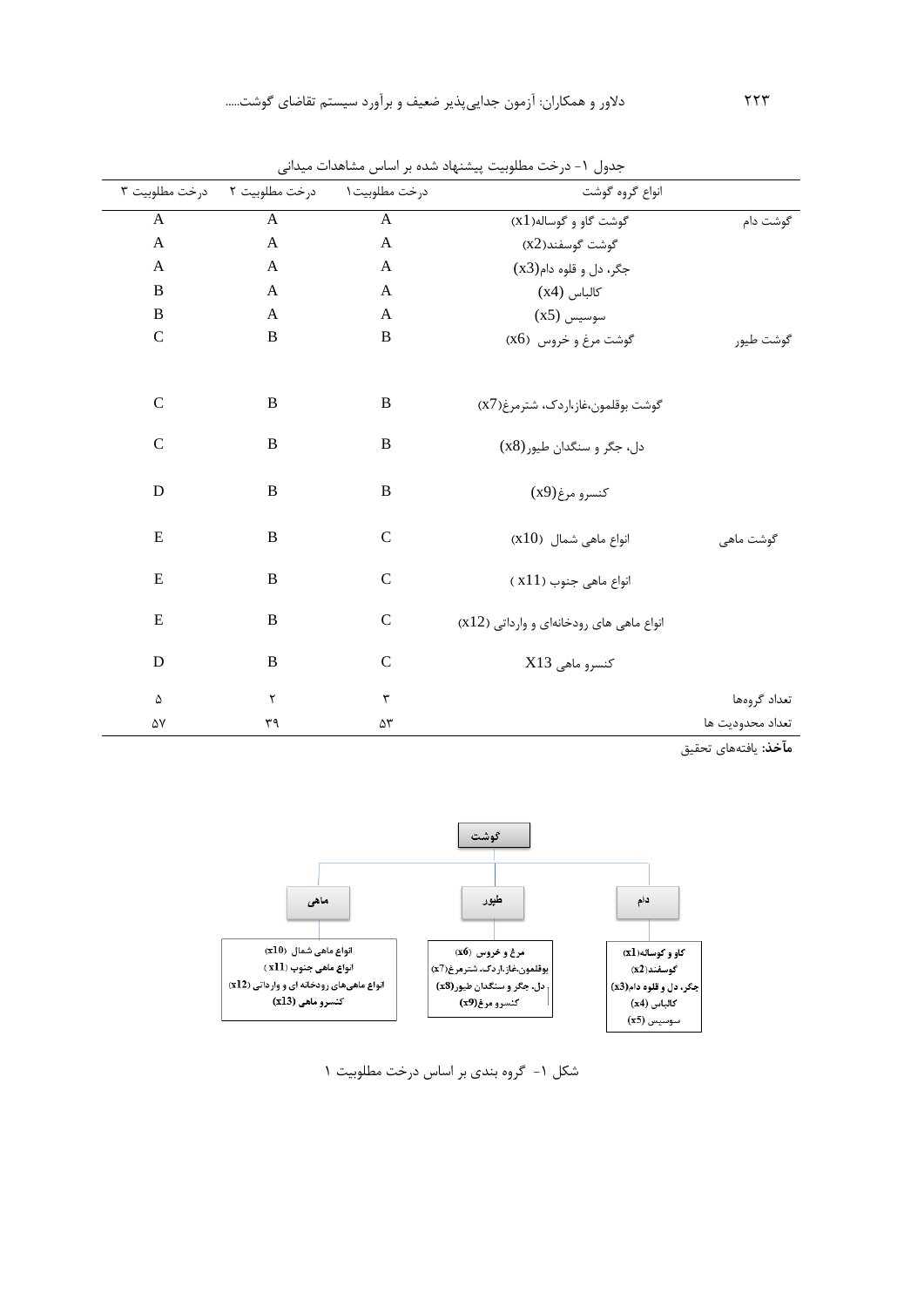|                  | انواع گروه گوشت                          | درخت مطلوبيت ١ | درخت مطلوبيت ٢ | درخت مطلوبيت ٣            |
|------------------|------------------------------------------|----------------|----------------|---------------------------|
| گوشت دام         | گوشت گاو و گوساله(X1)                    | $\mathbf{A}$   | A              | $\mathbf{A}$              |
|                  | گوشت گوسفند(x2)                          | $\mathbf{A}$   | $\mathbf{A}$   | $\boldsymbol{\mathsf{A}}$ |
|                  | جگر، دل و قلوه دام(x3)                   | A              | A              | A                         |
|                  | كالباس (x4)                              | $\mathbf{A}$   | A              | $\, {\bf B}$              |
|                  | $(x5)$ سوسیس                             | $\mathbf{A}$   | A              | $\, {\bf B}$              |
| گوشت طيور        | گوشت مرغ و خروس (X6)                     | $\, {\bf B}$   | B              | $\mathbf C$               |
|                  |                                          |                |                |                           |
|                  | گوشت بوقلمون،غاز،اردک، شترمرغ(X7)        | $\bf{B}$       | $\bf{B}$       | $\mathcal{C}$             |
|                  | دل، جگر و سنگدان طيور (x8)               | $\bf{B}$       | $\, {\bf B}$   | $\mathbf C$               |
|                  | كنسرو مرغ(x9)                            | $\, {\bf B}$   | $\, {\bf B}$   | D                         |
| گوشت ماهی        | $(x10)$ انواع ماهی شمال                  | $\mathsf{C}$   | B              | E                         |
|                  | انواع ماهي جنوب ( x11 )                  | $\mathcal{C}$  | $\overline{B}$ | ${\bf E}$                 |
|                  | انواع ماهی های رودخانهای و وارداتی (x12) | $\mathcal{C}$  | $\bf{B}$       | ${\bf E}$                 |
|                  | كنسرو ماهى X13                           | $\mathcal{C}$  | B              | D                         |
| تعداد گروهها     |                                          | ٣              | ٢              | ۵                         |
| تعداد محدوديت ها |                                          | ۵٣             | ٣٩             | ۵٧                        |

جدول ۱- درخت مطلوبیت پیشنهاد شده بر اساس مشاهدات میدانی

**مآخذ:** يافتههاي تحقیق



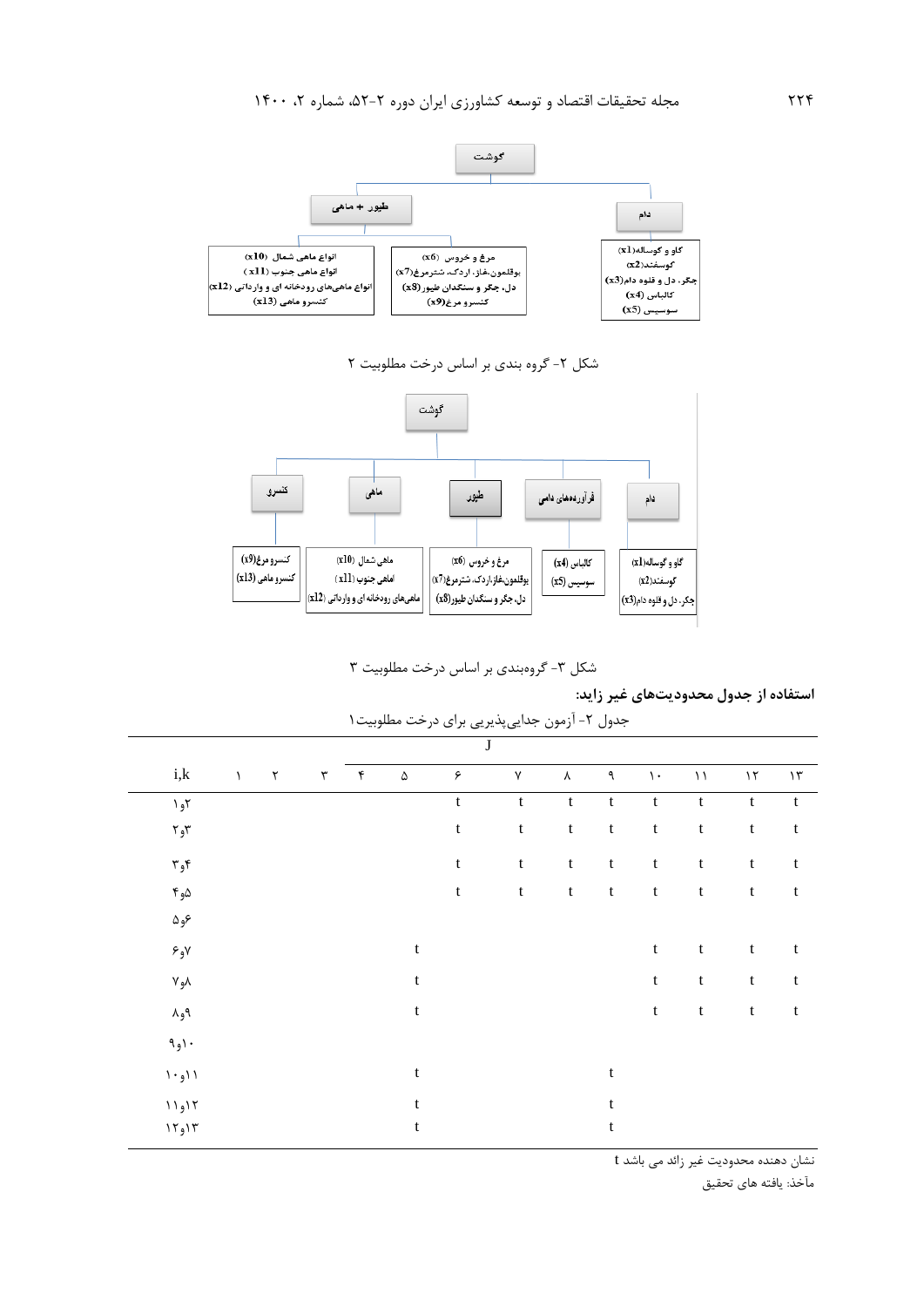

شکل ۲- گروه بندي بر اساس درخت مطلوبيت ۲



شکل ٣- گروهبندي بر اساس درخت مطلوبيت ٣

**استفاده از جدول محدوديتهاي غير زايد:**

|                                      |              |                          |                      |                |          |             | $\bf J$     |             |             |                |                           |                           |                           |
|--------------------------------------|--------------|--------------------------|----------------------|----------------|----------|-------------|-------------|-------------|-------------|----------------|---------------------------|---------------------------|---------------------------|
| i,k                                  | $\backslash$ | $\mathbf{\widetilde{v}}$ | $\mathbf{\breve{r}}$ | $\mathfrak{f}$ | $\Delta$ | $\varphi$   | $\sf V$     | $\lambda$   | ٩           | $\backslash$ . | $\backslash$ $\backslash$ | $\mathcal{N}$             | $\backslash\,\mathsf{r}$  |
| ۲و۱                                  |              |                          |                      |                |          | $\mathbf t$ | $\mathbf t$ | $\mathbf t$ | $\mathbf t$ | $\mathbf t$    | $\mathbf t$               | $\mathbf t$               | $\mathbf t$               |
| $r_{\rm e}$ ۳                        |              |                          |                      |                |          | $\mathbf t$ | $\mathbf t$ | $\mathbf t$ | $\mathbf t$ | $\mathbf t$    | $\mathbf t$               | $\mathbf t$               | $\ensuremath{\mathbf{t}}$ |
| $r_{\rm e}\tau$                      |              |                          |                      |                |          | $\mathbf t$ | $\mathbf t$ | $\mathbf t$ | $\mathbf t$ | $\mathbf t$    | $\mathbf t$               | $\ensuremath{\mathbf{t}}$ | $\mathbf t$               |
| $\kappa_{\rm e}$ ه                   |              |                          |                      |                |          | $\mathbf t$ | $\mathbf t$ | $\mathbf t$ | $\mathbf t$ | $\mathbf t$    | $\mathbf t$               | $\ensuremath{\mathbf{t}}$ | $\mathbf t$               |
| عره                                  |              |                          |                      |                |          |             |             |             |             |                |                           |                           |                           |
| $\epsilon_{\rm g}$ ر                 |              |                          |                      |                | t        |             |             |             |             | $\mathbf t$    | $\mathbf t$               | $\ensuremath{\mathbf{t}}$ | $\mathbf t$               |
| $\mathsf{v}_\mathsf{e}\mathsf{v}$    |              |                          |                      |                | t        |             |             |             |             | $\mathbf t$    | $\mathbf t$               | $\ensuremath{\mathbf{t}}$ | $\mathbf t$               |
| $\Lambda_{\mathfrak{g}}\mathfrak{q}$ |              |                          |                      |                | t        |             |             |             |             | $\mathbf t$    | $\mathbf t$               | $\ensuremath{\mathbf{t}}$ | $\mathsf t$               |
| 1, 1, 0                              |              |                          |                      |                |          |             |             |             |             |                |                           |                           |                           |
| ۱۱و۱                                 |              |                          |                      |                | t        |             |             |             | $\mathbf t$ |                |                           |                           |                           |
| ۱۱و۱۱                                |              |                          |                      |                | t        |             |             |             | t           |                |                           |                           |                           |
| ۱۲و۱۲                                |              |                          |                      |                | t        |             |             |             | t           |                |                           |                           |                           |

جدول -2 آزمون جدايیپذيريی براي درخت مطلوبیت1

نشان دهنده محدوديت غیر زائد می باشد t

مآخذ: يافته هاي تحقیق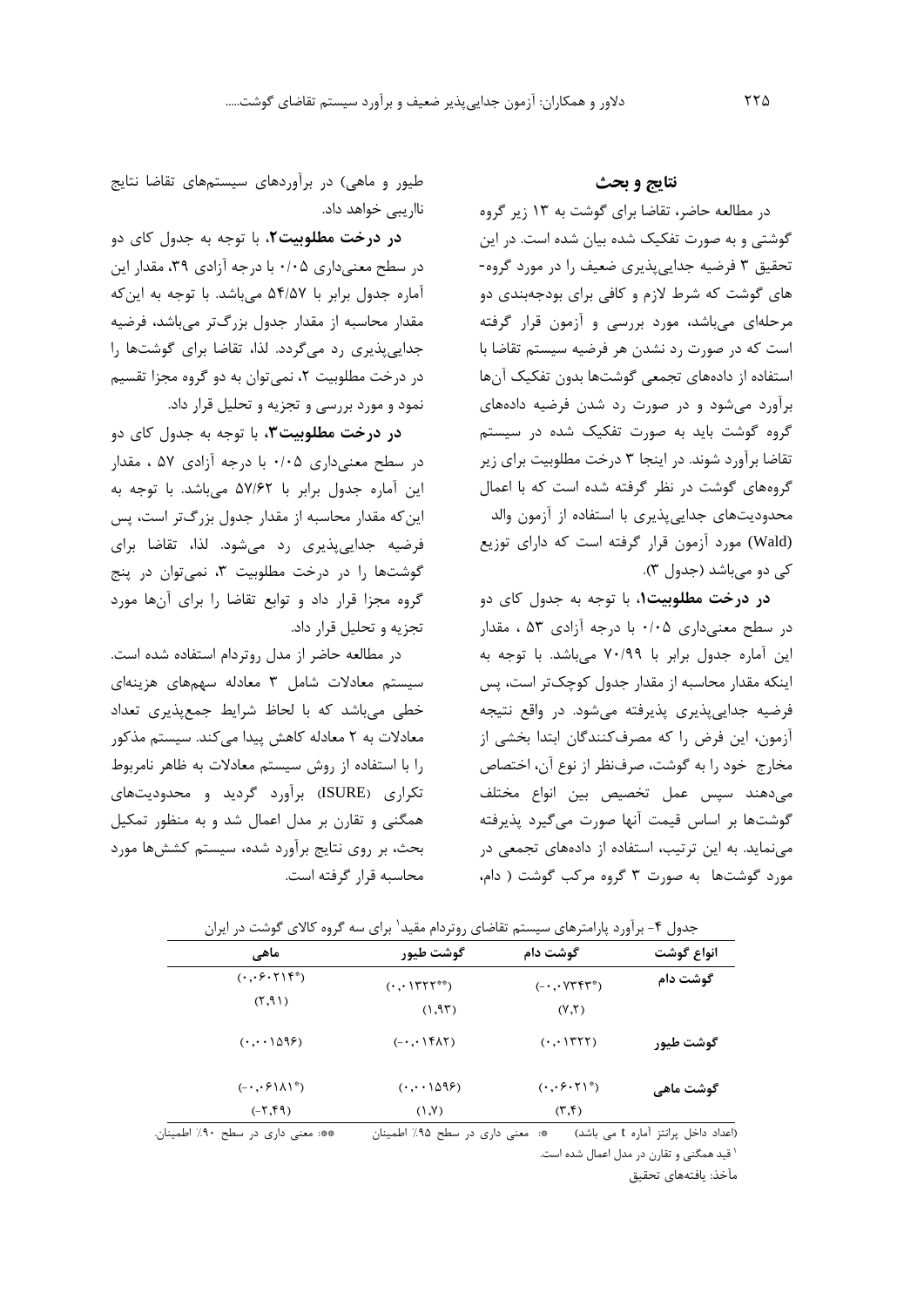### **نتایج و بحث**

در مطالعه حاضر، تقاضا براي گوشت به 13 زير گروه گوشتی و به صورت تفکیک شده بیان شده است. در اين تحقیق 3 فرضیه جدايیپذيري ضعیف را در مورد گروه- هاي گوشت که شرط الزم و کافی براي بودجهبندي دو مرحلهاي میباشد، مورد بررسی و آزمون قرار گرفته است که در صورت رد نشدن هر فرضیه سیستم تقاضا با استفاده از دادههاي تجمعی گوشتها بدون تفکیک آنها برآورد میشود و در صورت رد شدن فرضیه دادههاي گروه گوشت بايد به صورت تفکیک شده در سیستم تقاضا برآورد شوند. در اينجا 3 درخت مطلوبیت براي زير گروههاي گوشت در نظر گرفته شده است که با اعمال محدوديتهاي جدايیپذيري با استفاده از آزمون والد (Wald (مورد آزمون قرار گرفته است که داراي توزيع کی دو میباشد (جدول ۳).

**در درخت مطلوبيت**،**1** با توجه به جدول کاي دو در سطح معنیداري 0/05 با درجه آزادي 53 ، مقدار اين آماره جدول برابر با 70/99 میباشد. با توجه به اينکه مقدار محاسبه از مقدار جدول کوچکتر است، پس فرضیه جدايیپذيري پذيرفته میشود. در واقع نتیجه آزمون، اين فرض را که مصرفکنندگان ابتدا بخشی از مخارج خود را به گوشت، صرفنظر از نوع آن، اختصاص میدهند سپس عمل تخصیص بین انواع مختلف گوشتها بر اساس قیمت آنها صورت میگیرد پذيرفته مینمايد. به اين ترتیب، استفاده از دادههاي تجمعی در مورد گوشتها به صورت 3 گروه مرکب گوشت ) دام،

طیور و ماهی) در برآوردهای سیستمهای تقاضا نتايج نااريبی خواهد داد.

**در درخت مطلوبيت**،**2** با توجه به جدول کاي دو در سطح معنیداری ۰/۰۵ با درجه آزادی ۳۹، مقدار این آماره جدول برابر با 54/57 میباشد. با توجه به اينکه مقدار محاسبه از مقدار جدول بزرگتر میباشد، فرضیه جدايیپذيري رد میگردد. لذا، تقاضا براي گوشتها را در درخت مطلوبیت ۲، نمیتوان به دو گروه مجزا تقسیم نمود و مورد بررسی و تجزيه و تحلیل قرار داد.

**در درخت مطلوبيت،3** با توجه به جدول کاي دو در سطح معنیداري 0/05 با درجه آزادي 57 ، مقدار اين آماره جدول برابر با 57/62 میباشد. با توجه به اينکه مقدار محاسبه از مقدار جدول بزرگتر است، پس فرضیه جدايیپذيري رد میشود. لذا، تقاضا براي گوشتها را در درخت مطلوبیت ۳، نمیتوان در پنج گروه مجزا قرار داد و توابع تقاضا را براي آنها مورد تجزيه و تحلیل قرار داد.

در مطالعه حاضر از مدل روتردام استفاده شده است. سیستم معادالت شامل 3 معادله سهمهاي هزينهاي خطی میباشد که با لحاظ شرايط جمعپذيري تعداد معادالت به 2 معادله کاهش پیدا میکند. سیستم مذکور را با استفاده از روش سیستم معادالت به ظاهر نامربوط تکراري )ISURE )برآورد گرديد و محدوديتهاي همگنی و تقارن بر مدل اعمال شد و به منظور تمکیل بحث، بر روي نتايج برآورد شده، سیستم کششها مورد محاسبه قرار گرفته است.

| ماھے،                                                                          | گوشت طیور                                                                  | گوشت دام                                            | انواع گوشت  |  |
|--------------------------------------------------------------------------------|----------------------------------------------------------------------------|-----------------------------------------------------|-------------|--|
| $(\cdot$ , $\cdot$ $\cdot$ $\cdot$ $\uparrow$ $\uparrow$ $\uparrow$ $\uparrow$ | $( \cdot \, , \cdot \,   \, \mathsf{r} \, \mathsf{r} \, \mathsf{r}^{**} )$ | $(- \cdot \cdot \vee \vee \vee \vee \vee))$         | گوشت دام    |  |
| (1,9)                                                                          | (1,95)                                                                     | (Y, Y)                                              |             |  |
| $( \cdot \cdot \cdot \cdot \wedge \wedge \varphi)$                             | $(- \cdot \cdot \mathcal{F} \wedge \mathcal{F})$                           | $(\cdot \cdot)$ ( $\uparrow$ )                      | گوشت طیور   |  |
| $(-, \cdot \xi \setminus \lambda)^*$                                           | $( \cdot \cdot \cdot \cdot \wedge \wedge \varphi)$                         | $(\cdot\, , \cdot\, \cdot \cdot \wedge \cdot\, )^*$ | گوشت ماهے ِ |  |
| $(-7,9)$                                                                       | (Y, Y)                                                                     | $(\uparrow, \uparrow)$                              |             |  |

جدول ۴- برآورد پارامترهاي سيستم تقاضاي روتردام مقيد` براي سه گروه كالاي گوشت در ايران

)اعداد داخل پرانتز آماره t می باشد( \*: معنی داري در سطح %95 اطمینان \*\*: معنی داري در سطح %90 اطمینان.

1 قید همگنی و تقارن در مدل اعمال شده است.

مآخذ: يافتههاي تحقیق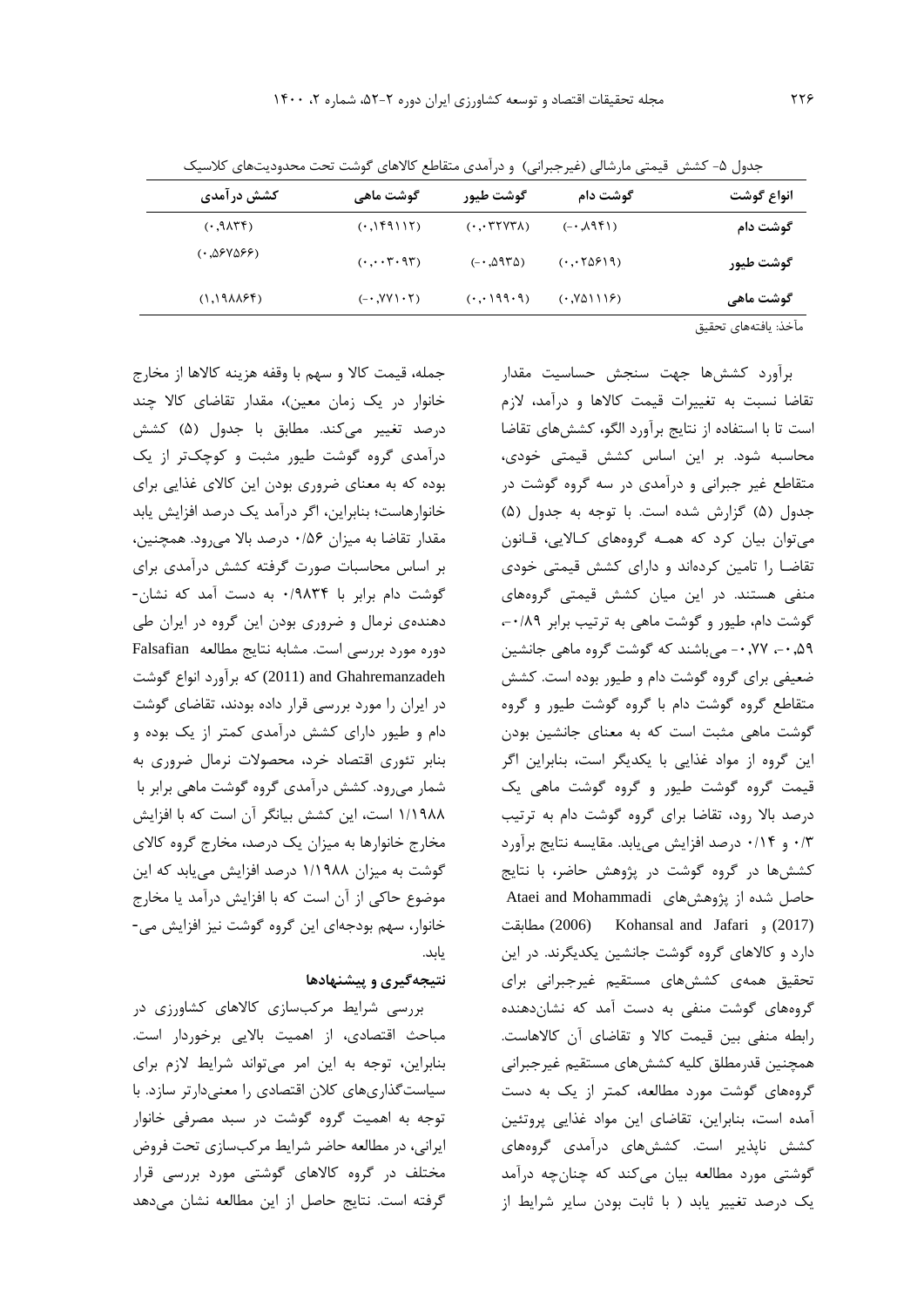| .                    | ی بر  د ت<br>ں ، دے ر | ີ                                                                       |                                        | .                        |  |
|----------------------|-----------------------|-------------------------------------------------------------------------|----------------------------------------|--------------------------|--|
| انواع گوشت           | گوشت دام              | گوشت طیور                                                               | گوشت ماهی                              | کشش در آمدی              |  |
| گوشت دام             | $(19P\lambda,-)$      | $( \cdot \cdot \mathsf{r} \mathsf{r} \mathsf{v} \mathsf{r} \mathsf{v})$ | (11111)                                | $(17\lambda P, \cdot)$   |  |
| گوشت طیور            | (0.0519)              | $(-0.0970)$                                                             | $(\cdot, \cdot, \cdot, \cdot, \cdot))$ | (۰٫۵۶۷۵۶۶)               |  |
| گوشت ماهی            | (0.1119)              | (0.0199.9)                                                              | $(-.7Y) \cdot 7)$                      | $(1.19\lambda\lambda55)$ |  |
| مآخذ: يافتههاي تحقيق |                       |                                                                         |                                        |                          |  |

جدول ۵- کشش قیمتی مارشالی (غیرجبرانی) و در آمدي متقاطع کالاهاي گوشت تحت محدوديتهاي کلاسیک

جمله، قیمت کاال و سهم با وقفه هزينه کاالها از مخارج خانوار در يک زمان معين)، مقدار تقاضاي کالا چند درصد تغییر میکند. مطابق با جدول )5( کشش درآمدي گروه گوشت طیور مثبت و کوچکتر از يک بوده که به معناي ضروري بودن اين کاالي غذايی براي خانوارهاست؛ بنابراين، اگر درآمد يک درصد افزايش يابد مقدار تقاضا به میزان 0/56 درصد باال میرود. همچنین، بر اساس محاسبات صورت گرفته کشش درآمدي براي گوشت دام برابر با 0/9834 به دست آمد که نشان- دهندهي نرمال و ضروري بودن اين گروه در ايران طی دوره مورد بررسی است. مشابه نتايج مطالعه Falsafian Ghahremanzadeh and) 2011 (که برآورد انواع گوشت در ايران را مورد بررسی قرار داده بودند، تقاضاي گوشت دام و طیور داراي کشش درآمدي کمتر از يک بوده و بنابر تئوري اقتصاد خرد، محصوالت نرمال ضروري به شمار میرود. کشش درآمدي گروه گوشت ماهی برابر با 1/1988 است، اين کشش بیانگر آن است که با افزايش مخارج خانوارها به میزان يک درصد، مخارج گروه کاالي گوشت به میزان 1/1988 درصد افزايش میيابد که اين موضوع حاکی از آن است که با افزايش درآمد يا مخارج خانوار، سهم بودجهاي اين گروه گوشت نیز افزايش می- يابد.

### **نتيجهگيري و پيشنهادها**

بررسی شرايط مرکبسازي کاالهاي کشاورزي در مباحث اقتصادي، از اهمیت بااليی برخوردار است. بنابراين، توجه به اين امر میتواند شرايط الزم براي سیاستگذاريهاي کالن اقتصادي را معنیدارتر سازد. با توجه به اهمیت گروه گوشت در سبد مصرفی خانوار ايرانی، در مطالعه حاضر شرايط مرکبسازي تحت فروض مختلف در گروه کاالهاي گوشتی مورد بررسی قرار گرفته است. نتايج حاصل از اين مطالعه نشان میدهد

برآورد کششها جهت سنجش حساسیت مقدار تقاضا نسبت به تغییرات قیمت کاالها و درآمد، الزم است تا با استفاده از نتايج برآورد الگو، کششهاي تقاضا محاسبه شود. بر اين اساس کشش قیمتی خودي، متقاطع غیر جبرانی و درآمدي در سه گروه گوشت در جدول (۵) گزارش شده است. با توجه به جدول (۵) میتوان بیان کرد که همـه گروههاي کـااليی، قـانون تقاضـا را تامین کردهاند و داراي کشش قیمتی خودي منفی هستند. در اين میان کشش قیمتی گروههاي گوشت دام، طیور و گوشت ماهی به ترتیب برابر ۰/۸۹ ،-0,59 -0,77 میباشند که گوشت گروه ماهی جانشین ضعیفی براي گروه گوشت دام و طیور بوده است. کشش متقاطع گروه گوشت دام با گروه گوشت طیور و گروه گوشت ماهی مثبت است که به معناي جانشین بودن اين گروه از مواد غذايی با يکديگر است، بنابراين اگر قیمت گروه گوشت طیور و گروه گوشت ماهی يک درصد باال رود، تقاضا براي گروه گوشت دام به ترتیب 0/3 و 0/14 درصد افزايش میيابد. مقايسه نتايج برآورد کششها در گروه گوشت در پژوهش حاضر، با نتايج حاصل شده از پژوهشهای Ataei and Mohammadi مطابقت) 2006 (Kohansal and Jafari و) 2017( دارد و کاالهاي گروه گوشت جانشین يکديگرند. در اين تحقیق همهي کششهاي مستقیم غیرجبرانی براي گروههاي گوشت منفی به دست آمد که نشاندهنده رابطه منفی بین قیمت کاال و تقاضاي آن کاالهاست. همچنین قدرمطلق کلیه کششهاي مستقیم غیرجبرانی گروههاي گوشت مورد مطالعه، کمتر از يک به دست آمده است، بنابراين، تقاضاي اين مواد غذايی پروتئین کشش ناپذير است. کششهاي درآمدي گروههاي گوشتی مورد مطالعه بیان میکند که چنانچه درآمد يک درصد تغییر يابد ) با ثابت بودن ساير شرايط از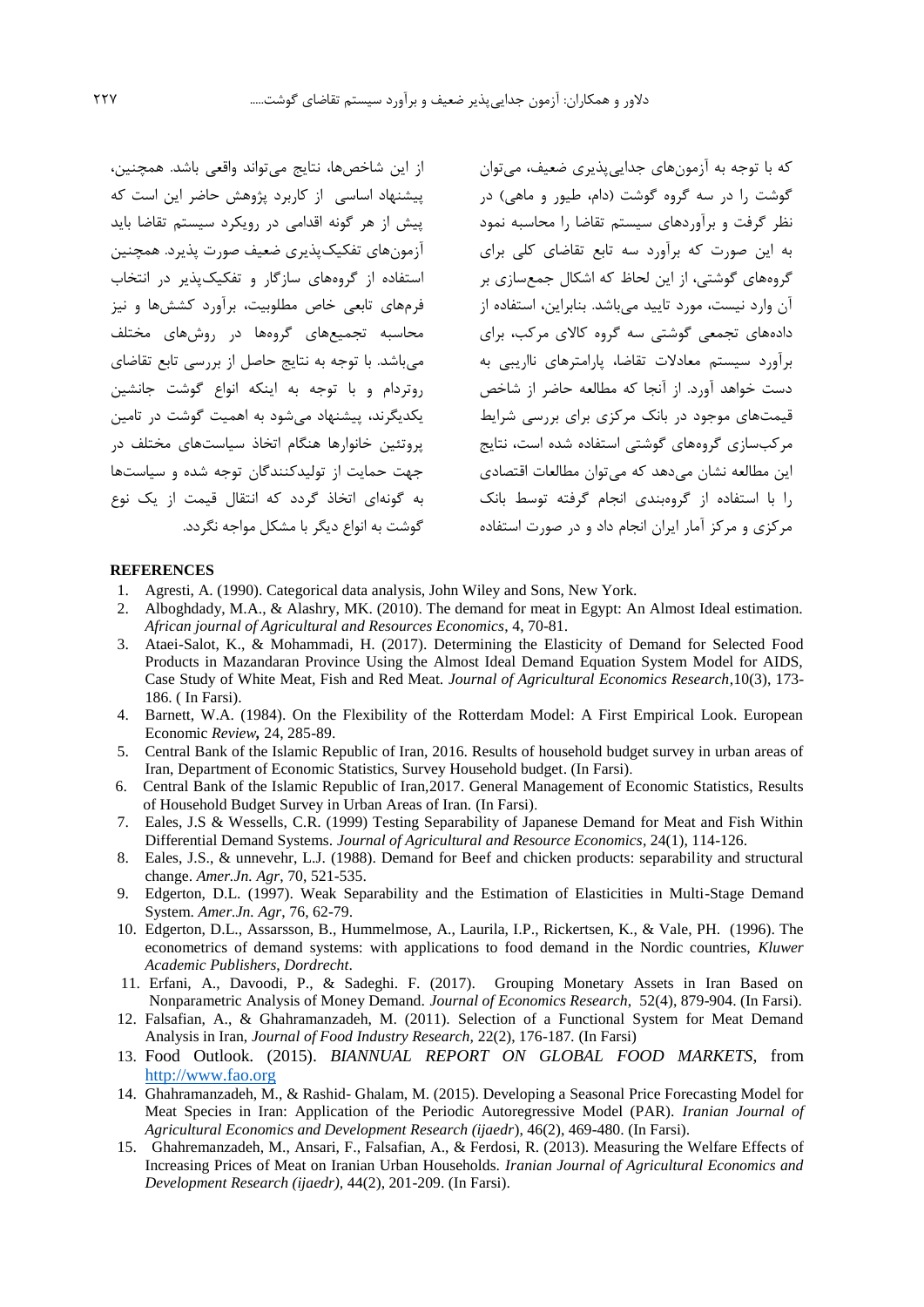از اين شاخصها، نتايج میتواند واقعی باشد. همچنین، پیشنهاد اساسی از کاربرد پژوهش حاضر اين است که پیش از هر گونه اقدامی در رويکرد سیستم تقاضا بايد آزمونهاي تفکیکپذيري ضعیف صورت پذيرد. همچنین استفاده از گروههاي سازگار و تفکیکپذير در انتخاب فرمهاي تابعی خاص مطلوبیت، برآورد کششها و نیز محاسبه تجمیعهاي گروهها در روشهاي مختلف میباشد. با توجه به نتايج حاصل از بررسی تابع تقاضاي روتردام و با توجه به اينکه انواع گوشت جانشین يکديگرند، پیشنهاد میشود به اهمیت گوشت در تامین پروتئین خانوارها هنگام اتخاذ سیاستهاي مختلف در جهت حمايت از تولیدکنندگان توجه شده و سیاستها به گونهاي اتخاذ گردد که انتقال قیمت از يک نوع گوشت به انواع ديگر با مشکل مواجه نگردد.

که با توجه به آزمونهاي جدايیپذيري ضعیف، میتوان گوشت را در سه گروه گوشت (دام، طیور و ماهی) در نظر گرفت و برآوردهاي سیستم تقاضا را محاسبه نمود به اين صورت که برآورد سه تابع تقاضاي کلی براي گروههاي گوشتی، از اين لحاظ که اشکال جمعسازي بر آن وارد نیست، مورد تايید میباشد. بنابراين، استفاده از دادههاي تجمعی گوشتی سه گروه کاالي مرکب، براي برآورد سیستم معادالت تقاضا، پارامترهاي نااريبی به دست خواهد آورد. از آنجا که مطالعه حاضر از شاخص قیمتهاي موجود در بانک مرکزي براي بررسی شرايط مرکبسازي گروههاي گوشتی استفاده شده است، نتايج اين مطالعه نشان می دهد که می توان مطالعات اقتصادی را با استفاده از گروهبندي انجام گرفته توسط بانک مرکزي و مرکز آمار ايران انجام داد و در صورت استفاده

### **REFERENCES**

- 1. Agresti, A. (1990). Categorical data analysis, John Wiley and Sons, New York.
- 2. Alboghdady, M.A., & Alashry, MK. (2010). The demand for meat in Egypt: An Almost Ideal estimation. *African journal of Agricultural and Resources Economics*, 4, 70-81.
- 3. Ataei-Salot, K., & Mohammadi, H. (2017). Determining the Elasticity of Demand for Selected Food Products in Mazandaran Province Using the Almost Ideal Demand Equation System Model for AIDS, Case Study of White Meat, Fish and Red Meat. *Journal of Agricultural Economics Research*,10(3), 173- 186. ( In Farsi).
- 4. Barnett, W.A. (1984). On the Flexibility of the Rotterdam Model: A First Empirical Look. European Economic *Review,* 24, 285-89.
- 5. Central Bank of the Islamic Republic of Iran, 2016. Results of household budget survey in urban areas of Iran, Department of Economic Statistics, Survey Household budget. (In Farsi).
- 6. Central Bank of the Islamic Republic of Iran,2017. General Management of Economic Statistics, Results of Household Budget Survey in Urban Areas of Iran. (In Farsi).
- 7. Eales, J.S & Wessells, C.R. (1999) Testing Separability of Japanese Demand for Meat and Fish Within Differential Demand Systems. *Journal of Agricultural and Resource Economics*, 24(1), 114-126.
- 8. Eales, J.S., & unnevehr, L.J. (1988). Demand for Beef and chicken products: separability and structural change. *Amer.Jn. Agr*, 70, 521-535.
- 9. Edgerton, D.L. (1997). Weak Separability and the Estimation of Elasticities in Multi-Stage Demand System. *Amer.Jn. Agr*, 76, 62-79.
- 10. Edgerton, D.L., Assarsson, B., Hummelmose, A., Laurila, I.P., Rickertsen, K., & Vale, PH. (1996). The econometrics of demand systems: with applications to food demand in the Nordic countries, *Kluwer Academic Publishers*, *Dordrecht*.
- 11. Erfani, A., Davoodi, P., & Sadeghi. F. (2017). Grouping Monetary Assets in Iran Based on Nonparametric Analysis of Money Demand. *Journal of Economics Research*, 52(4), 879-904. (In Farsi).
- 12. Falsafian, A., & Ghahramanzadeh, M. (2011). Selection of a Functional System for Meat Demand Analysis in Iran, *Journal of Food Industry Research,* 22(2), 176-187*.* (In Farsi)
- 13. Food Outlook. (2015). *BIANNUAL REPORT ON GLOBAL FOOD MARKETS*, from http://www.fao.org
- 14. Ghahramanzadeh, M., & Rashid- Ghalam, M. (2015). Developing a Seasonal Price Forecasting Model for Meat Species in Iran: Application of the Periodic Autoregressive Model (PAR). *Iranian Journal of Agricultural Economics and Development Research (ijaedr*), 46(2), 469-480. (In Farsi).
- 15. Ghahremanzadeh, M., Ansari, F., Falsafian, A., & Ferdosi, R. (2013). Measuring the Welfare Effects of Increasing Prices of Meat on Iranian Urban Households. *Iranian Journal of Agricultural Economics and Development Research (ijaedr),* 44(2), 201-209. (In Farsi).